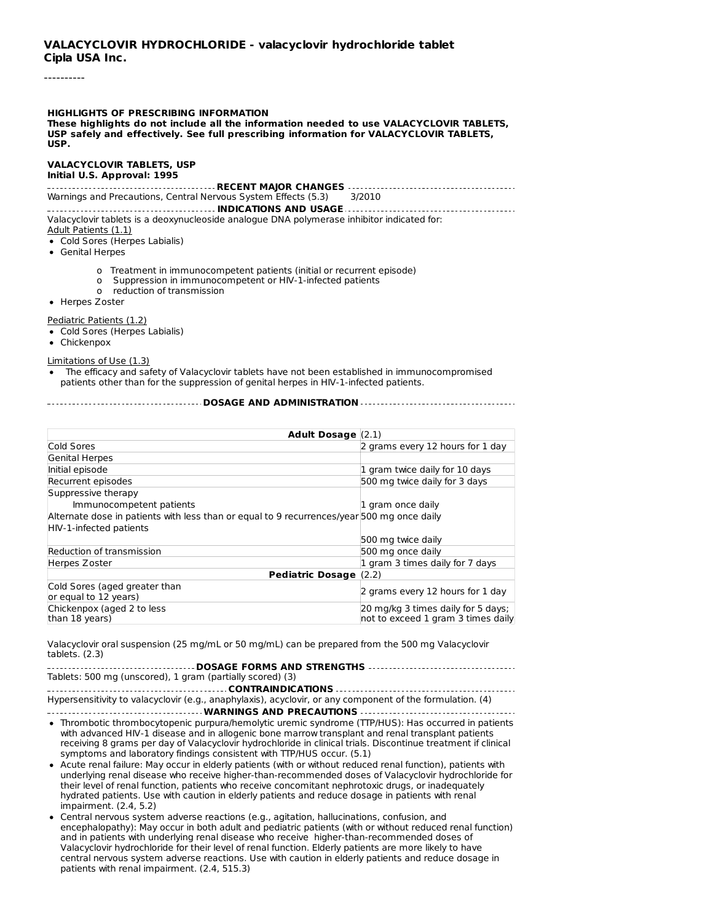----------

#### **HIGHLIGHTS OF PRESCRIBING INFORMATION These highlights do not include all the information needed to use VALACYCLOVIR TABLETS, USP safely and effectively. See full prescribing information for VALACYCLOVIR TABLETS, USP.**

#### **VALACYCLOVIR TABLETS, USP Initial U.S. Approval: 1995**

**RECENT MAJOR CHANGES** Warnings and Precautions, Central Nervous System Effects (5.3)

### **INDICATIONS AND USAGE**

Valacyclovir tablets is a deoxynucleoside analogue DNA polymerase inhibitor indicated for: Adult Patients (1.1)

#### Cold Sores (Herpes Labialis)

- Genital Herpes
	- o Treatment in immunocompetent patients (initial or recurrent episode)
	- o Suppression in immunocompetent or HIV-1-infected patients
	- o reduction of transmission
- Herpes Zoster

Pediatric Patients (1.2)

- Cold Sores (Herpes Labialis)
- Chickenpox

Limitations of Use (1.3)

The efficacy and safety of Valacyclovir tablets have not been established in immunocompromised patients other than for the suppression of genital herpes in HIV-1-infected patients.

**DOSAGE AND ADMINISTRATION**

| Adult Dosage $(2.1)$                                                                       |                                    |  |
|--------------------------------------------------------------------------------------------|------------------------------------|--|
| Cold Sores                                                                                 | 2 grams every 12 hours for 1 day   |  |
| Genital Herpes                                                                             |                                    |  |
| Initial episode                                                                            | 1 gram twice daily for 10 days     |  |
| Recurrent episodes                                                                         | 500 mg twice daily for 3 days      |  |
| Suppressive therapy                                                                        |                                    |  |
| Immunocompetent patients                                                                   | 1 gram once daily                  |  |
| Alternate dose in patients with less than or equal to 9 recurrences/year 500 mg once daily |                                    |  |
| HIV-1-infected patients                                                                    |                                    |  |
|                                                                                            | 500 mg twice daily                 |  |
| Reduction of transmission                                                                  | 500 mg once daily                  |  |
| Herpes Zoster                                                                              | 1 gram 3 times daily for 7 days    |  |
| Pediatric Dosage (2.2)                                                                     |                                    |  |
| Cold Sores (aged greater than                                                              | 2 grams every 12 hours for 1 day   |  |
| or equal to 12 years)                                                                      |                                    |  |
| Chickenpox (aged 2 to less                                                                 | 20 mg/kg 3 times daily for 5 days; |  |
| than 18 years)                                                                             | not to exceed 1 gram 3 times daily |  |

Valacyclovir oral suspension (25 mg/mL or 50 mg/mL) can be prepared from the 500 mg Valacyclovir tablets. (2.3)

#### **DOSAGE FORMS AND STRENGTHS** Tablets: 500 mg (unscored), 1 gram (partially scored) (3)

**CONTRAINDICATIONS** Hypersensitivity to valacyclovir (e.g., anaphylaxis), acyclovir, or any component of the formulation. (4)

- **WARNINGS AND PRECAUTIONS** Thrombotic thrombocytopenic purpura/hemolytic uremic syndrome (TTP/HUS): Has occurred in patients with advanced HIV-1 disease and in allogenic bone marrow transplant and renal transplant patients receiving 8 grams per day of Valacyclovir hydrochloride in clinical trials. Discontinue treatment if clinical symptoms and laboratory findings consistent with TTP/HUS occur. (5.1)
- Acute renal failure: May occur in elderly patients (with or without reduced renal function), patients with underlying renal disease who receive higher-than-recommended doses of Valacyclovir hydrochloride for their level of renal function, patients who receive concomitant nephrotoxic drugs, or inadequately hydrated patients. Use with caution in elderly patients and reduce dosage in patients with renal impairment. (2.4, 5.2)
- Central nervous system adverse reactions (e.g., agitation, hallucinations, confusion, and encephalopathy): May occur in both adult and pediatric patients (with or without reduced renal function) and in patients with underlying renal disease who receive higher-than-recommended doses of Valacyclovir hydrochloride for their level of renal function. Elderly patients are more likely to have central nervous system adverse reactions. Use with caution in elderly patients and reduce dosage in patients with renal impairment. (2.4, 515.3)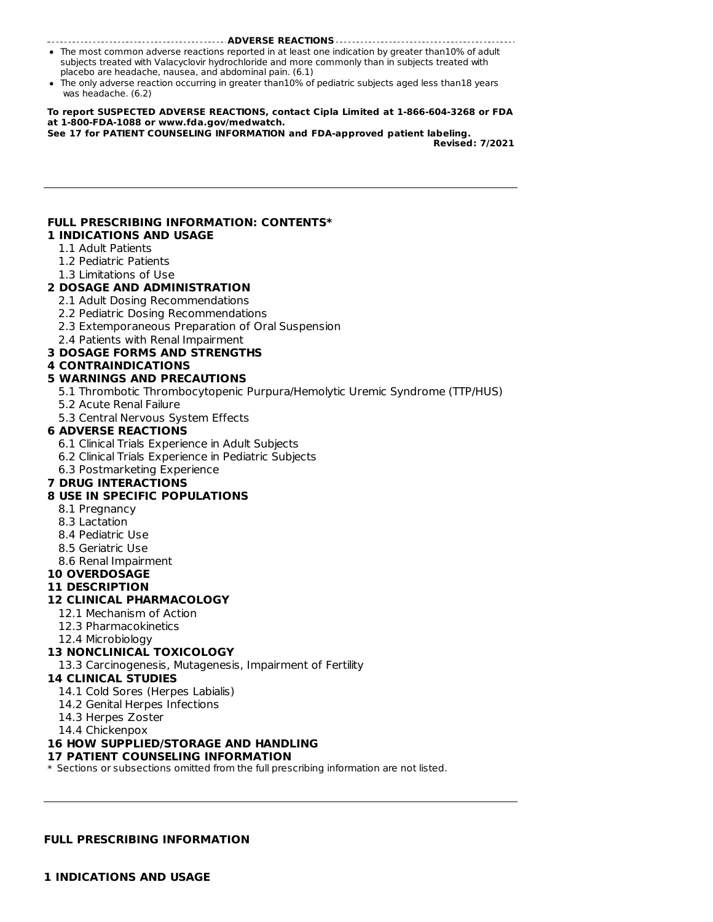#### **ADVERSE REACTIONS**

- The most common adverse reactions reported in at least one indication by greater than10% of adult subjects treated with Valacyclovir hydrochloride and more commonly than in subjects treated with placebo are headache, nausea, and abdominal pain. (6.1)
- The only adverse reaction occurring in greater than10% of pediatric subjects aged less than18 years was headache. (6.2)

#### **To report SUSPECTED ADVERSE REACTIONS, contact Cipla Limited at 1-866-604-3268 or FDA at 1-800-FDA-1088 or www.fda.gov/medwatch.**

**See 17 for PATIENT COUNSELING INFORMATION and FDA-approved patient labeling.**

**Revised: 7/2021**

#### **FULL PRESCRIBING INFORMATION: CONTENTS\* 1 INDICATIONS AND USAGE**

- 1.1 Adult Patients
- 1.2 Pediatric Patients
- 1.3 Limitations of Use

### **2 DOSAGE AND ADMINISTRATION**

- 2.1 Adult Dosing Recommendations
- 2.2 Pediatric Dosing Recommendations
- 2.3 Extemporaneous Preparation of Oral Suspension
- 2.4 Patients with Renal Impairment

### **3 DOSAGE FORMS AND STRENGTHS**

#### **4 CONTRAINDICATIONS**

#### **5 WARNINGS AND PRECAUTIONS**

- 5.1 Thrombotic Thrombocytopenic Purpura/Hemolytic Uremic Syndrome (TTP/HUS)
- 5.2 Acute Renal Failure
- 5.3 Central Nervous System Effects

#### **6 ADVERSE REACTIONS**

- 6.1 Clinical Trials Experience in Adult Subjects
- 6.2 Clinical Trials Experience in Pediatric Subjects
- 6.3 Postmarketing Experience

#### **7 DRUG INTERACTIONS**

#### **8 USE IN SPECIFIC POPULATIONS**

- 8.1 Pregnancy
- 8.3 Lactation
- 8.4 Pediatric Use
- 8.5 Geriatric Use
- 8.6 Renal Impairment

### **10 OVERDOSAGE**

#### **11 DESCRIPTION**

#### **12 CLINICAL PHARMACOLOGY**

- 12.1 Mechanism of Action
- 12.3 Pharmacokinetics
- 12.4 Microbiology

#### **13 NONCLINICAL TOXICOLOGY**

13.3 Carcinogenesis, Mutagenesis, Impairment of Fertility

#### **14 CLINICAL STUDIES**

- 14.1 Cold Sores (Herpes Labialis)
- 14.2 Genital Herpes Infections
- 14.3 Herpes Zoster
- 14.4 Chickenpox

#### **16 HOW SUPPLIED/STORAGE AND HANDLING**

#### **17 PATIENT COUNSELING INFORMATION**

\* Sections or subsections omitted from the full prescribing information are not listed.

#### **FULL PRESCRIBING INFORMATION**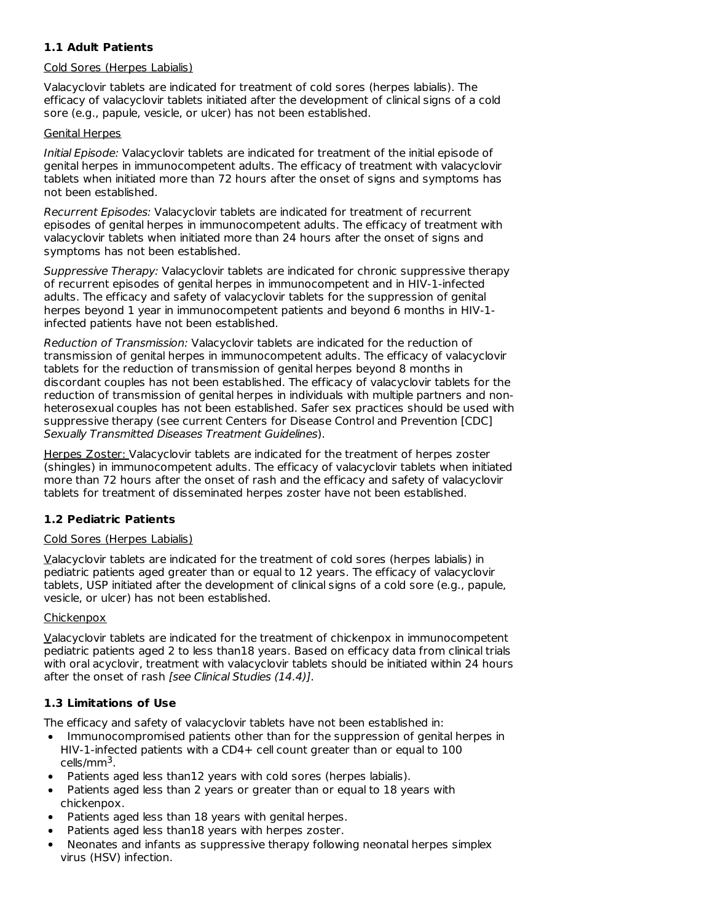# **1.1 Adult Patients**

### Cold Sores (Herpes Labialis)

Valacyclovir tablets are indicated for treatment of cold sores (herpes labialis). The efficacy of valacyclovir tablets initiated after the development of clinical signs of a cold sore (e.g., papule, vesicle, or ulcer) has not been established.

### Genital Herpes

Initial Episode: Valacyclovir tablets are indicated for treatment of the initial episode of genital herpes in immunocompetent adults. The efficacy of treatment with valacyclovir tablets when initiated more than 72 hours after the onset of signs and symptoms has not been established.

Recurrent Episodes: Valacyclovir tablets are indicated for treatment of recurrent episodes of genital herpes in immunocompetent adults. The efficacy of treatment with valacyclovir tablets when initiated more than 24 hours after the onset of signs and symptoms has not been established.

Suppressive Therapy: Valacyclovir tablets are indicated for chronic suppressive therapy of recurrent episodes of genital herpes in immunocompetent and in HIV-1-infected adults. The efficacy and safety of valacyclovir tablets for the suppression of genital herpes beyond 1 year in immunocompetent patients and beyond 6 months in HIV-1 infected patients have not been established.

Reduction of Transmission: Valacyclovir tablets are indicated for the reduction of transmission of genital herpes in immunocompetent adults. The efficacy of valacyclovir tablets for the reduction of transmission of genital herpes beyond 8 months in discordant couples has not been established. The efficacy of valacyclovir tablets for the reduction of transmission of genital herpes in individuals with multiple partners and nonheterosexual couples has not been established. Safer sex practices should be used with suppressive therapy (see current Centers for Disease Control and Prevention [CDC] Sexually Transmitted Diseases Treatment Guidelines).

Herpes Zoster: Valacyclovir tablets are indicated for the treatment of herpes zoster (shingles) in immunocompetent adults. The efficacy of valacyclovir tablets when initiated more than 72 hours after the onset of rash and the efficacy and safety of valacyclovir tablets for treatment of disseminated herpes zoster have not been established.

# **1.2 Pediatric Patients**

# Cold Sores (Herpes Labialis)

Valacyclovir tablets are indicated for the treatment of cold sores (herpes labialis) in pediatric patients aged greater than or equal to 12 years. The efficacy of valacyclovir tablets, USP initiated after the development of clinical signs of a cold sore (e.g., papule, vesicle, or ulcer) has not been established.

# Chickenpox

Valacyclovir tablets are indicated for the treatment of chickenpox in immunocompetent pediatric patients aged 2 to less than18 years. Based on efficacy data from clinical trials with oral acyclovir, treatment with valacyclovir tablets should be initiated within 24 hours after the onset of rash [see Clinical Studies (14.4)].

# **1.3 Limitations of Use**

The efficacy and safety of valacyclovir tablets have not been established in:

- Immunocompromised patients other than for the suppression of genital herpes in HIV-1-infected patients with a CD4+ cell count greater than or equal to 100 cells/mm<sup>3</sup>.
- Patients aged less than12 years with cold sores (herpes labialis).
- Patients aged less than 2 years or greater than or equal to 18 years with chickenpox.
- Patients aged less than 18 years with genital herpes.
- Patients aged less than18 years with herpes zoster.
- Neonates and infants as suppressive therapy following neonatal herpes simplex virus (HSV) infection.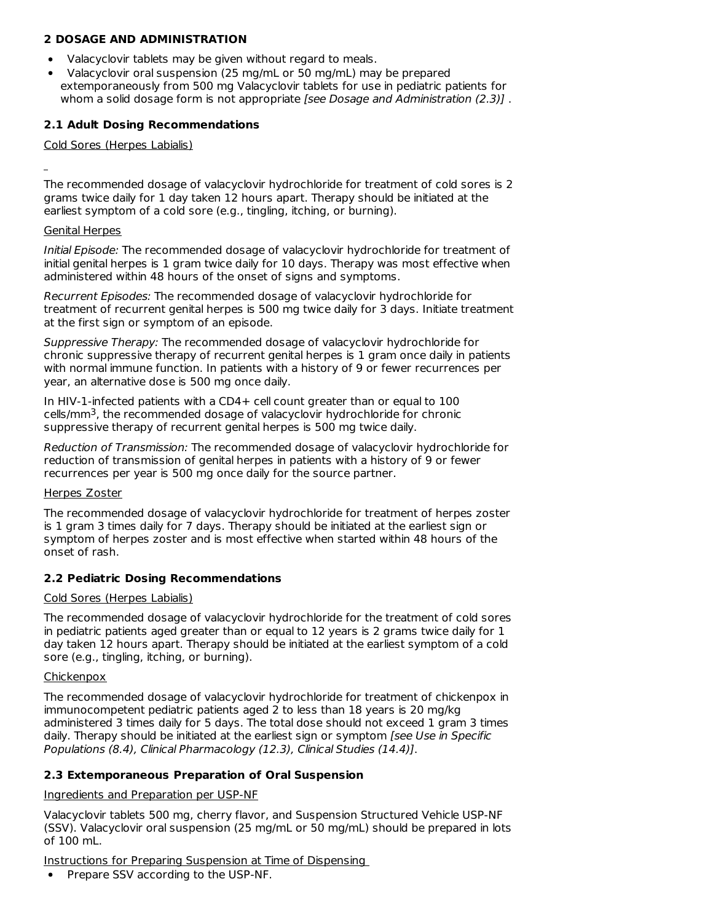### **2 DOSAGE AND ADMINISTRATION**

- Valacyclovir tablets may be given without regard to meals.
- Valacyclovir oral suspension (25 mg/mL or 50 mg/mL) may be prepared extemporaneously from 500 mg Valacyclovir tablets for use in pediatric patients for whom a solid dosage form is not appropriate [see Dosage and Administration (2.3)].

### **2.1 Adult Dosing Recommendations**

#### Cold Sores (Herpes Labialis)

The recommended dosage of valacyclovir hydrochloride for treatment of cold sores is 2 grams twice daily for 1 day taken 12 hours apart. Therapy should be initiated at the earliest symptom of a cold sore (e.g., tingling, itching, or burning).

#### Genital Herpes

Initial Episode: The recommended dosage of valacyclovir hydrochloride for treatment of initial genital herpes is 1 gram twice daily for 10 days. Therapy was most effective when administered within 48 hours of the onset of signs and symptoms.

Recurrent Episodes: The recommended dosage of valacyclovir hydrochloride for treatment of recurrent genital herpes is 500 mg twice daily for 3 days. Initiate treatment at the first sign or symptom of an episode.

Suppressive Therapy: The recommended dosage of valacyclovir hydrochloride for chronic suppressive therapy of recurrent genital herpes is 1 gram once daily in patients with normal immune function. In patients with a history of 9 or fewer recurrences per year, an alternative dose is 500 mg once daily.

In HIV-1-infected patients with a CD4+ cell count greater than or equal to 100 cells/mm<sup>3</sup>, the recommended dosage of valacyclovir hydrochloride for chronic suppressive therapy of recurrent genital herpes is 500 mg twice daily.

Reduction of Transmission: The recommended dosage of valacyclovir hydrochloride for reduction of transmission of genital herpes in patients with a history of 9 or fewer recurrences per year is 500 mg once daily for the source partner.

#### Herpes Zoster

The recommended dosage of valacyclovir hydrochloride for treatment of herpes zoster is 1 gram 3 times daily for 7 days. Therapy should be initiated at the earliest sign or symptom of herpes zoster and is most effective when started within 48 hours of the onset of rash.

#### **2.2 Pediatric Dosing Recommendations**

#### Cold Sores (Herpes Labialis)

The recommended dosage of valacyclovir hydrochloride for the treatment of cold sores in pediatric patients aged greater than or equal to 12 years is 2 grams twice daily for 1 day taken 12 hours apart. Therapy should be initiated at the earliest symptom of a cold sore (e.g., tingling, itching, or burning).

#### **Chickenpox**

The recommended dosage of valacyclovir hydrochloride for treatment of chickenpox in immunocompetent pediatric patients aged 2 to less than 18 years is 20 mg/kg administered 3 times daily for 5 days. The total dose should not exceed 1 gram 3 times daily. Therapy should be initiated at the earliest sign or symptom [see Use in Specific Populations (8.4), Clinical Pharmacology (12.3), Clinical Studies (14.4)].

### **2.3 Extemporaneous Preparation of Oral Suspension**

Ingredients and Preparation per USP-NF

Valacyclovir tablets 500 mg, cherry flavor, and Suspension Structured Vehicle USP-NF (SSV). Valacyclovir oral suspension (25 mg/mL or 50 mg/mL) should be prepared in lots of 100 mL.

Instructions for Preparing Suspension at Time of Dispensing

Prepare SSV according to the USP-NF.  $\bullet$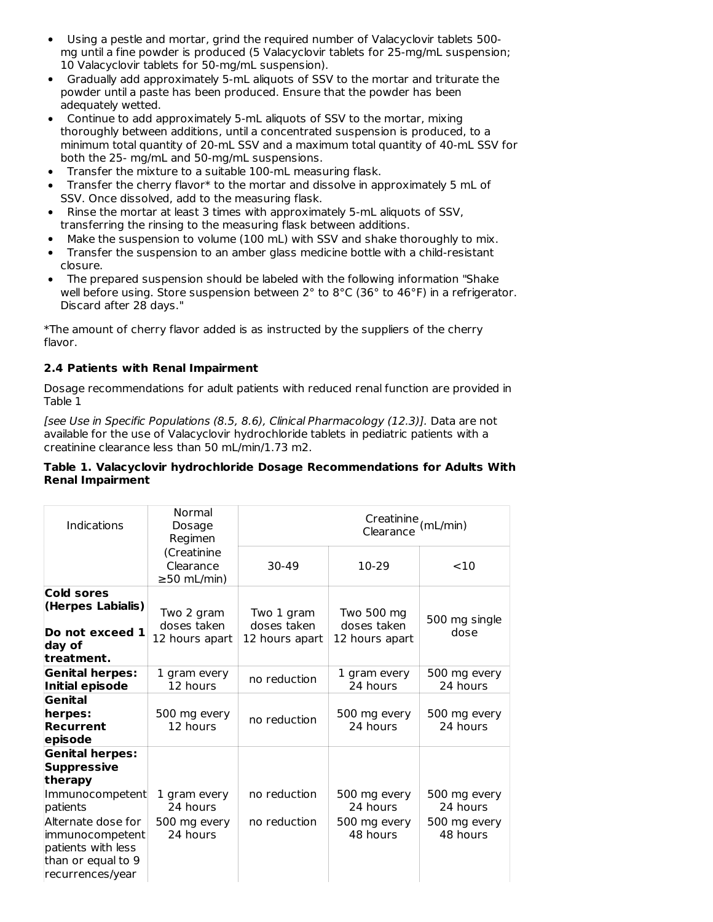- Using a pestle and mortar, grind the required number of Valacyclovir tablets 500 mg until a fine powder is produced (5 Valacyclovir tablets for 25-mg/mL suspension; 10 Valacyclovir tablets for 50-mg/mL suspension).
- Gradually add approximately 5-mL aliquots of SSV to the mortar and triturate the powder until a paste has been produced. Ensure that the powder has been adequately wetted.
- Continue to add approximately 5-mL aliquots of SSV to the mortar, mixing thoroughly between additions, until a concentrated suspension is produced, to a minimum total quantity of 20-mL SSV and a maximum total quantity of 40-mL SSV for both the 25- mg/mL and 50-mg/mL suspensions.
- Transfer the mixture to a suitable 100-mL measuring flask.
- Transfer the cherry flavor\* to the mortar and dissolve in approximately 5 mL of SSV. Once dissolved, add to the measuring flask.
- Rinse the mortar at least 3 times with approximately 5-mL aliquots of SSV, transferring the rinsing to the measuring flask between additions.
- Make the suspension to volume (100 mL) with SSV and shake thoroughly to mix.
- Transfer the suspension to an amber glass medicine bottle with a child-resistant  $\bullet$ closure.
- The prepared suspension should be labeled with the following information "Shake well before using. Store suspension between 2° to 8°C (36° to 46°F) in a refrigerator. Discard after 28 days."

\*The amount of cherry flavor added is as instructed by the suppliers of the cherry flavor.

# **2.4 Patients with Renal Impairment**

Dosage recommendations for adult patients with reduced renal function are provided in Table 1

[see Use in Specific Populations (8.5, 8.6), Clinical Pharmacology (12.3)]. Data are not available for the use of Valacyclovir hydrochloride tablets in pediatric patients with a creatinine clearance less than 50 mL/min/1.73 m2.

### **Table 1. Valacyclovir hydrochloride Dosage Recommendations for Adults With Renal Impairment**

| Indications                                                                                           | Normal<br>Dosage<br>Regimen                   | Creatinine <sub>(mL/min)</sub><br>Clearance |                           |                          |  |
|-------------------------------------------------------------------------------------------------------|-----------------------------------------------|---------------------------------------------|---------------------------|--------------------------|--|
|                                                                                                       | (Creatinine<br>Clearance<br>$\geq$ 50 mL/min) | 30-49                                       | 10-29                     | $<$ 10                   |  |
| Cold sores<br>(Herpes Labialis)                                                                       | Two 2 gram<br>doses taken                     | Two 1 gram<br>doses taken                   | Two 500 mg<br>doses taken | 500 mg single            |  |
| Do not exceed 1<br>day of<br>treatment.                                                               | 12 hours apart                                | 12 hours apart                              | 12 hours apart            | dose                     |  |
| <b>Genital herpes:</b><br><b>Initial episode</b>                                                      | 1 gram every<br>12 hours                      | no reduction                                | 1 gram every<br>24 hours  | 500 mg every<br>24 hours |  |
| Genital<br>herpes:<br>Recurrent<br>episode                                                            | 500 mg every<br>12 hours                      | no reduction                                | 500 mg every<br>24 hours  | 500 mg every<br>24 hours |  |
| <b>Genital herpes:</b><br><b>Suppressive</b><br>therapy                                               |                                               |                                             |                           |                          |  |
| Immunocompetent<br>patients                                                                           | 1 gram every<br>24 hours                      | no reduction                                | 500 mg every<br>24 hours  | 500 mg every<br>24 hours |  |
| Alternate dose for<br>immunocompetent<br>patients with less<br>than or equal to 9<br>recurrences/year | 500 mg every<br>24 hours                      | no reduction                                | 500 mg every<br>48 hours  | 500 mg every<br>48 hours |  |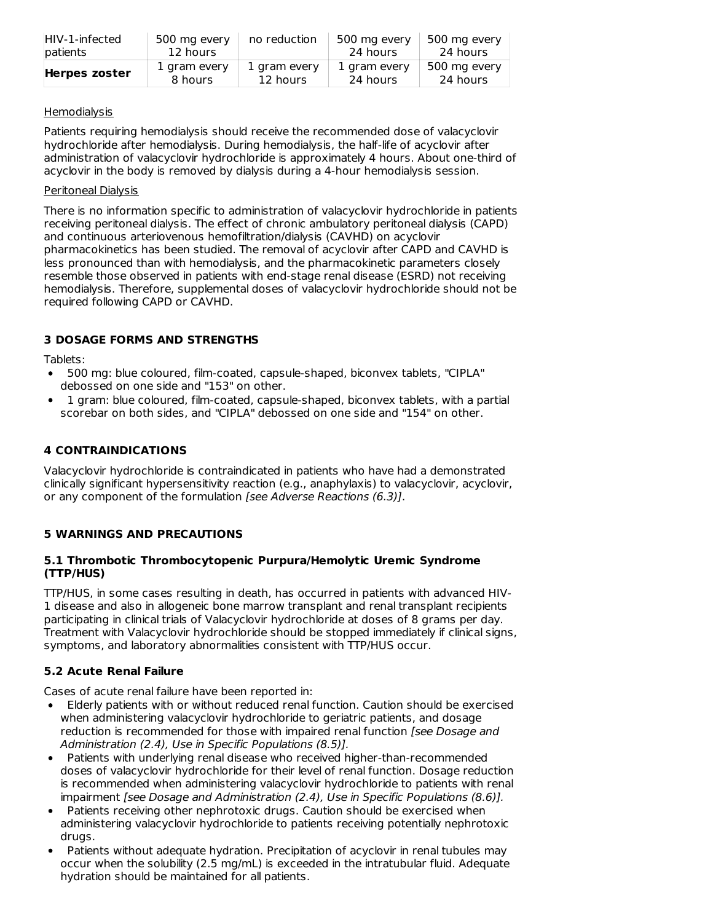| HIV-1-infected       | 500 mg every | no reduction | 500 mg every | 500 mg every |
|----------------------|--------------|--------------|--------------|--------------|
| patients             | 12 hours     |              | 24 hours     | 24 hours     |
| <b>Herpes zoster</b> | 1 gram every | 1 gram every | 1 gram every | 500 mg every |
|                      | 8 hours      | 12 hours     | 24 hours     | 24 hours     |

# **Hemodialysis**

Patients requiring hemodialysis should receive the recommended dose of valacyclovir hydrochloride after hemodialysis. During hemodialysis, the half-life of acyclovir after administration of valacyclovir hydrochloride is approximately 4 hours. About one-third of acyclovir in the body is removed by dialysis during a 4-hour hemodialysis session.

# Peritoneal Dialysis

There is no information specific to administration of valacyclovir hydrochloride in patients receiving peritoneal dialysis. The effect of chronic ambulatory peritoneal dialysis (CAPD) and continuous arteriovenous hemofiltration/dialysis (CAVHD) on acyclovir pharmacokinetics has been studied. The removal of acyclovir after CAPD and CAVHD is less pronounced than with hemodialysis, and the pharmacokinetic parameters closely resemble those observed in patients with end-stage renal disease (ESRD) not receiving hemodialysis. Therefore, supplemental doses of valacyclovir hydrochloride should not be required following CAPD or CAVHD.

# **3 DOSAGE FORMS AND STRENGTHS**

Tablets:

- 500 mg: blue coloured, film-coated, capsule-shaped, biconvex tablets, "CIPLA" debossed on one side and "153" on other.
- 1 gram: blue coloured, film-coated, capsule-shaped, biconvex tablets, with a partial scorebar on both sides, and "CIPLA" debossed on one side and "154" on other.

# **4 CONTRAINDICATIONS**

Valacyclovir hydrochloride is contraindicated in patients who have had a demonstrated clinically significant hypersensitivity reaction (e.g., anaphylaxis) to valacyclovir, acyclovir, or any component of the formulation [see Adverse Reactions (6.3)].

# **5 WARNINGS AND PRECAUTIONS**

# **5.1 Thrombotic Thrombocytopenic Purpura/Hemolytic Uremic Syndrome (TTP/HUS)**

TTP/HUS, in some cases resulting in death, has occurred in patients with advanced HIV-1 disease and also in allogeneic bone marrow transplant and renal transplant recipients participating in clinical trials of Valacyclovir hydrochloride at doses of 8 grams per day. Treatment with Valacyclovir hydrochloride should be stopped immediately if clinical signs, symptoms, and laboratory abnormalities consistent with TTP/HUS occur.

# **5.2 Acute Renal Failure**

Cases of acute renal failure have been reported in:

- Elderly patients with or without reduced renal function. Caution should be exercised when administering valacyclovir hydrochloride to geriatric patients, and dosage reduction is recommended for those with impaired renal function [see Dosage and Administration (2.4), Use in Specific Populations (8.5)].
- Patients with underlying renal disease who received higher-than-recommended doses of valacyclovir hydrochloride for their level of renal function. Dosage reduction is recommended when administering valacyclovir hydrochloride to patients with renal impairment [see Dosage and Administration (2.4), Use in Specific Populations (8.6)].
- Patients receiving other nephrotoxic drugs. Caution should be exercised when administering valacyclovir hydrochloride to patients receiving potentially nephrotoxic drugs.
- Patients without adequate hydration. Precipitation of acyclovir in renal tubules may occur when the solubility (2.5 mg/mL) is exceeded in the intratubular fluid. Adequate hydration should be maintained for all patients.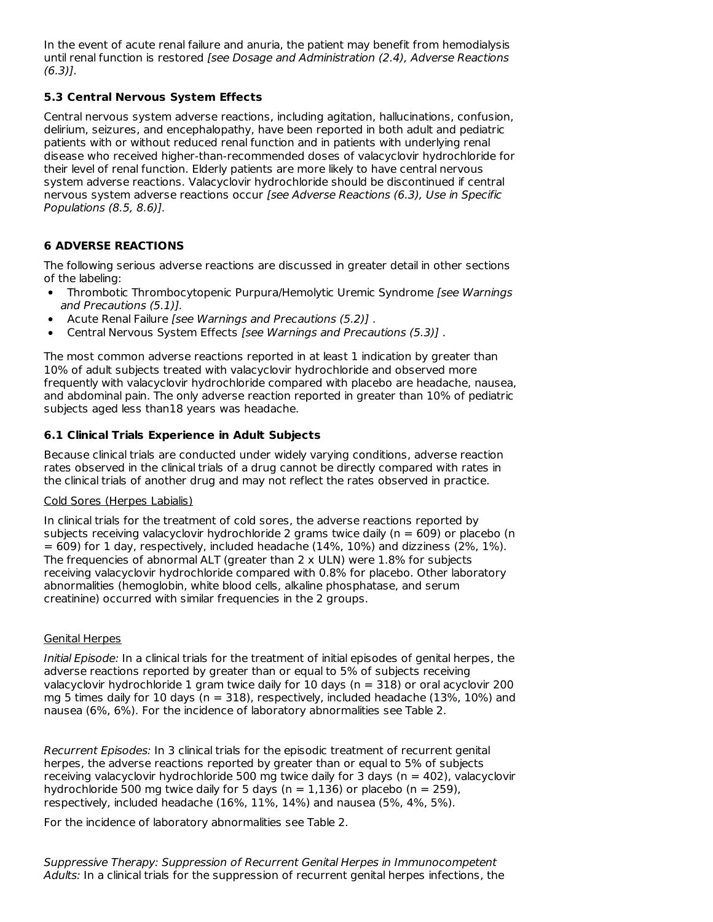In the event of acute renal failure and anuria, the patient may benefit from hemodialysis until renal function is restored [see Dosage and Administration (2.4), Adverse Reactions  $(6.3)$ ].

# **5.3 Central Nervous System Effects**

Central nervous system adverse reactions, including agitation, hallucinations, confusion, delirium, seizures, and encephalopathy, have been reported in both adult and pediatric patients with or without reduced renal function and in patients with underlying renal disease who received higher-than-recommended doses of valacyclovir hydrochloride for their level of renal function. Elderly patients are more likely to have central nervous system adverse reactions. Valacyclovir hydrochloride should be discontinued if central nervous system adverse reactions occur [see Adverse Reactions (6.3), Use in Specific Populations (8.5, 8.6)].

# **6 ADVERSE REACTIONS**

The following serious adverse reactions are discussed in greater detail in other sections of the labeling:

- Thrombotic Thrombocytopenic Purpura/Hemolytic Uremic Syndrome [see Warnings and Precautions (5.1)].
- Acute Renal Failure [see Warnings and Precautions (5.2)] .
- Central Nervous System Effects [see Warnings and Precautions (5.3)] .

The most common adverse reactions reported in at least 1 indication by greater than 10% of adult subjects treated with valacyclovir hydrochloride and observed more frequently with valacyclovir hydrochloride compared with placebo are headache, nausea, and abdominal pain. The only adverse reaction reported in greater than 10% of pediatric subjects aged less than18 years was headache.

# **6.1 Clinical Trials Experience in Adult Subjects**

Because clinical trials are conducted under widely varying conditions, adverse reaction rates observed in the clinical trials of a drug cannot be directly compared with rates in the clinical trials of another drug and may not reflect the rates observed in practice.

### Cold Sores (Herpes Labialis)

In clinical trials for the treatment of cold sores, the adverse reactions reported by subjects receiving valacyclovir hydrochloride 2 grams twice daily ( $n = 609$ ) or placebo (n  $= 609$ ) for 1 day, respectively, included headache (14%, 10%) and dizziness (2%, 1%). The frequencies of abnormal ALT (greater than 2 x ULN) were 1.8% for subjects receiving valacyclovir hydrochloride compared with 0.8% for placebo. Other laboratory abnormalities (hemoglobin, white blood cells, alkaline phosphatase, and serum creatinine) occurred with similar frequencies in the 2 groups.

# Genital Herpes

Initial Episode: In a clinical trials for the treatment of initial episodes of genital herpes, the adverse reactions reported by greater than or equal to 5% of subjects receiving valacyclovir hydrochloride 1 gram twice daily for 10 days (n = 318) or oral acyclovir 200 mg 5 times daily for 10 days ( $n = 318$ ), respectively, included headache (13%, 10%) and nausea (6%, 6%). For the incidence of laboratory abnormalities see Table 2.

Recurrent Episodes: In 3 clinical trials for the episodic treatment of recurrent genital herpes, the adverse reactions reported by greater than or equal to 5% of subjects receiving valacyclovir hydrochloride 500 mg twice daily for 3 days ( $n = 402$ ), valacyclovir hydrochloride 500 mg twice daily for 5 days ( $n = 1,136$ ) or placebo ( $n = 259$ ), respectively, included headache (16%, 11%, 14%) and nausea (5%, 4%, 5%).

For the incidence of laboratory abnormalities see Table 2.

Suppressive Therapy: Suppression of Recurrent Genital Herpes in Immunocompetent Adults: In a clinical trials for the suppression of recurrent genital herpes infections, the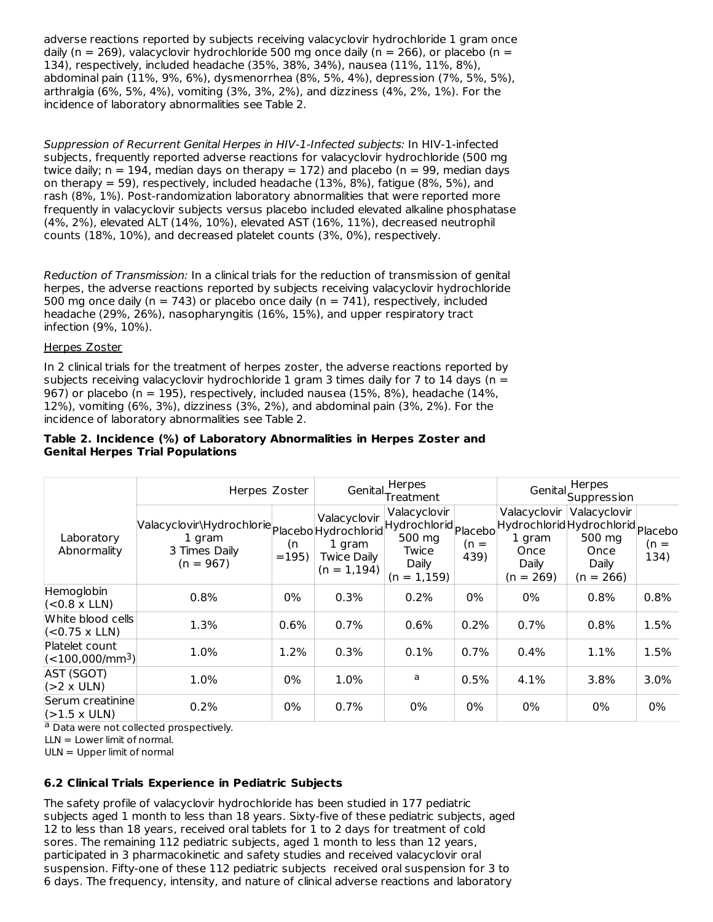adverse reactions reported by subjects receiving valacyclovir hydrochloride 1 gram once daily (n = 269), valacyclovir hydrochloride 500 mg once daily (n = 266), or placebo (n = 134), respectively, included headache (35%, 38%, 34%), nausea (11%, 11%, 8%), abdominal pain (11%, 9%, 6%), dysmenorrhea (8%, 5%, 4%), depression (7%, 5%, 5%), arthralgia (6%, 5%, 4%), vomiting (3%, 3%, 2%), and dizziness (4%, 2%, 1%). For the incidence of laboratory abnormalities see Table 2.

Suppression of Recurrent Genital Herpes in HIV-1-Infected subjects: In HIV-1-infected subjects, frequently reported adverse reactions for valacyclovir hydrochloride (500 mg twice daily;  $n = 194$ , median days on therapy = 172) and placebo ( $n = 99$ , median days on therapy  $= 59$ ), respectively, included headache (13%, 8%), fatigue (8%, 5%), and rash (8%, 1%). Post-randomization laboratory abnormalities that were reported more frequently in valacyclovir subjects versus placebo included elevated alkaline phosphatase (4%, 2%), elevated ALT (14%, 10%), elevated AST (16%, 11%), decreased neutrophil counts (18%, 10%), and decreased platelet counts (3%, 0%), respectively.

Reduction of Transmission: In a clinical trials for the reduction of transmission of genital herpes, the adverse reactions reported by subjects receiving valacyclovir hydrochloride 500 mg once daily (n = 743) or placebo once daily (n = 741), respectively, included headache (29%, 26%), nasopharyngitis (16%, 15%), and upper respiratory tract infection (9%, 10%).

#### Herpes Zoster

In 2 clinical trials for the treatment of herpes zoster, the adverse reactions reported by subjects receiving valacyclovir hydrochloride 1 gram 3 times daily for 7 to 14 days ( $n =$ 967) or placebo (n = 195), respectively, included nausea (15%, 8%), headache (14%, 12%), vomiting (6%, 3%), dizziness (3%, 2%), and abdominal pain (3%, 2%). For the incidence of laboratory abnormalities see Table 2.

#### **Table 2. Incidence (%) of Laboratory Abnormalities in Herpes Zoster and Genital Herpes Trial Populations**

|                                                       | Herpes Zoster                                                                                                        |              |                                                                | Herpes<br>Genital Treatment                                |                |                                                        | Herpes<br>Genital Suppression                                                             |                |  |
|-------------------------------------------------------|----------------------------------------------------------------------------------------------------------------------|--------------|----------------------------------------------------------------|------------------------------------------------------------|----------------|--------------------------------------------------------|-------------------------------------------------------------------------------------------|----------------|--|
| Laboratory<br>Abnormality                             | Valacyclovir\Hydrochlorie<br>Placebold Hydrochlorid Hydrochlorid Placebold<br>1 gram<br>3 Times Daily<br>$(n = 967)$ | (n<br>$=195$ | Valacyclovir<br>1 gram<br><b>Twice Daily</b><br>$(n = 1, 194)$ | Valacyclovir<br>500 mg<br>Twice<br>Daily<br>$(n = 1, 159)$ | $(n =$<br>439) | Valacyclovir<br>1 gram<br>Once<br>Daily<br>$(n = 269)$ | Valacyclovir<br>Hydrochlorid Hydrochlorid Placebo<br>500 mg<br>Once<br>Daily<br>(n = 266) | $(n =$<br>134) |  |
| Hemoglobin<br>$ (-0.8 \times LLN) $                   | 0.8%                                                                                                                 | 0%           | 0.3%                                                           | 0.2%                                                       | 0%             | 0%                                                     | 0.8%                                                                                      | 0.8%           |  |
| White blood cells<br>$(<0.75$ x LLN)                  | 1.3%                                                                                                                 | 0.6%         | 0.7%                                                           | 0.6%                                                       | 0.2%           | 0.7%                                                   | 0.8%                                                                                      | 1.5%           |  |
| Platelet count<br>$\vert$ (<100,000/mm <sup>3</sup> ) | 1.0%                                                                                                                 | 1.2%         | 0.3%                                                           | 0.1%                                                       | 0.7%           | 0.4%                                                   | 1.1%                                                                                      | 1.5%           |  |
| AST (SGOT)<br>$(S2 \times ULN)$                       | 1.0%                                                                                                                 | 0%           | 1.0%                                                           | a                                                          | 0.5%           | 4.1%                                                   | 3.8%                                                                                      | 3.0%           |  |
| Serum creatinine<br>$ 21.5 \times ULN\rangle$         | 0.2%                                                                                                                 | 0%           | 0.7%                                                           | 0%                                                         | 0%             | 0%                                                     | 0%                                                                                        | 0%             |  |

<sup>a</sup> Data were not collected prospectively.

 $LLN = Lower limit of normal.$ 

 $ULN = Upper$  limit of normal

# **6.2 Clinical Trials Experience in Pediatric Subjects**

The safety profile of valacyclovir hydrochloride has been studied in 177 pediatric subjects aged 1 month to less than 18 years. Sixty-five of these pediatric subjects, aged 12 to less than 18 years, received oral tablets for 1 to 2 days for treatment of cold sores. The remaining 112 pediatric subjects, aged 1 month to less than 12 years, participated in 3 pharmacokinetic and safety studies and received valacyclovir oral suspension. Fifty-one of these 112 pediatric subjects received oral suspension for 3 to 6 days. The frequency, intensity, and nature of clinical adverse reactions and laboratory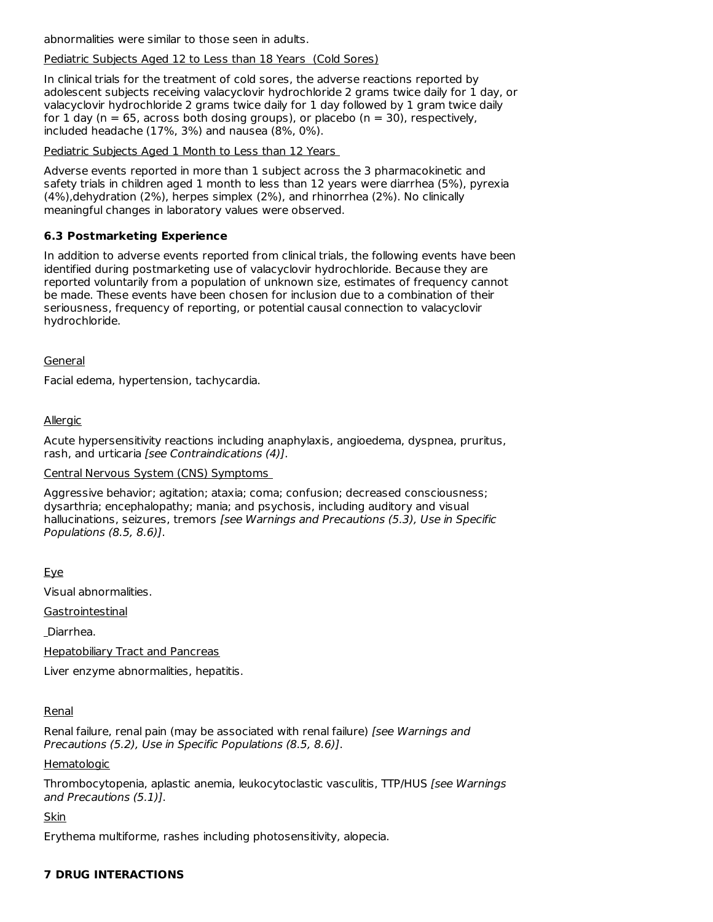abnormalities were similar to those seen in adults.

### Pediatric Subjects Aged 12 to Less than 18 Years (Cold Sores)

In clinical trials for the treatment of cold sores, the adverse reactions reported by adolescent subjects receiving valacyclovir hydrochloride 2 grams twice daily for 1 day, or valacyclovir hydrochloride 2 grams twice daily for 1 day followed by 1 gram twice daily for 1 day ( $n = 65$ , across both dosing groups), or placebo ( $n = 30$ ), respectively, included headache (17%, 3%) and nausea (8%, 0%).

Pediatric Subjects Aged 1 Month to Less than 12 Years

Adverse events reported in more than 1 subject across the 3 pharmacokinetic and safety trials in children aged 1 month to less than 12 years were diarrhea (5%), pyrexia (4%),dehydration (2%), herpes simplex (2%), and rhinorrhea (2%). No clinically meaningful changes in laboratory values were observed.

## **6.3 Postmarketing Experience**

In addition to adverse events reported from clinical trials, the following events have been identified during postmarketing use of valacyclovir hydrochloride. Because they are reported voluntarily from a population of unknown size, estimates of frequency cannot be made. These events have been chosen for inclusion due to a combination of their seriousness, frequency of reporting, or potential causal connection to valacyclovir hydrochloride.

### **General**

Facial edema, hypertension, tachycardia.

# Allergic

Acute hypersensitivity reactions including anaphylaxis, angioedema, dyspnea, pruritus, rash, and urticaria [see Contraindications (4)].

Central Nervous System (CNS) Symptoms

Aggressive behavior; agitation; ataxia; coma; confusion; decreased consciousness; dysarthria; encephalopathy; mania; and psychosis, including auditory and visual hallucinations, seizures, tremors [see Warnings and Precautions (5.3), Use in Specific Populations (8.5, 8.6)].

Eye

Visual abnormalities.

**Gastrointestinal** 

Diarrhea.

Hepatobiliary Tract and Pancreas

Liver enzyme abnormalities, hepatitis.

# Renal

Renal failure, renal pain (may be associated with renal failure) [see Warnings and Precautions (5.2), Use in Specific Populations (8.5, 8.6)].

#### **Hematologic**

Thrombocytopenia, aplastic anemia, leukocytoclastic vasculitis, TTP/HUS [see Warnings and Precautions (5.1)].

Skin

Erythema multiforme, rashes including photosensitivity, alopecia.

# **7 DRUG INTERACTIONS**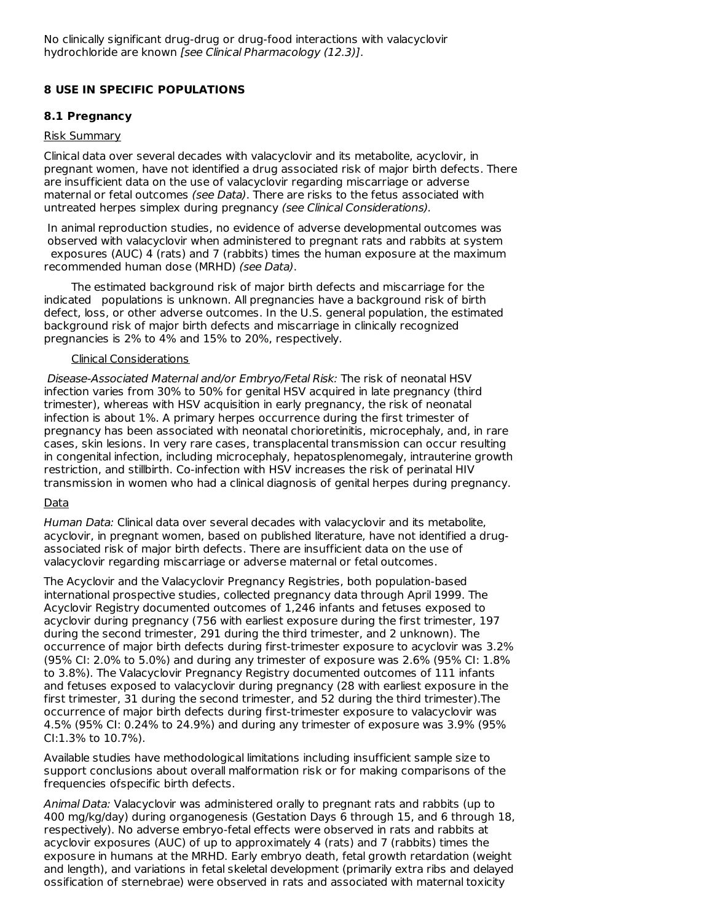# **8 USE IN SPECIFIC POPULATIONS**

# **8.1 Pregnancy**

### Risk Summary

Clinical data over several decades with valacyclovir and its metabolite, acyclovir, in pregnant women, have not identified a drug associated risk of major birth defects. There are insufficient data on the use of valacyclovir regarding miscarriage or adverse maternal or fetal outcomes (see Data). There are risks to the fetus associated with untreated herpes simplex during pregnancy (see Clinical Considerations).

In animal reproduction studies, no evidence of adverse developmental outcomes was observed with valacyclovir when administered to pregnant rats and rabbits at system exposures (AUC) 4 (rats) and 7 (rabbits) times the human exposure at the maximum recommended human dose (MRHD) (see Data).

The estimated background risk of major birth defects and miscarriage for the indicated populations is unknown. All pregnancies have a background risk of birth defect, loss, or other adverse outcomes. In the U.S. general population, the estimated background risk of major birth defects and miscarriage in clinically recognized pregnancies is 2% to 4% and 15% to 20%, respectively.

### Clinical Considerations

Disease-Associated Maternal and/or Embryo/Fetal Risk: The risk of neonatal HSV infection varies from 30% to 50% for genital HSV acquired in late pregnancy (third trimester), whereas with HSV acquisition in early pregnancy, the risk of neonatal infection is about 1%. A primary herpes occurrence during the first trimester of pregnancy has been associated with neonatal chorioretinitis, microcephaly, and, in rare cases, skin lesions. In very rare cases, transplacental transmission can occur resulting in congenital infection, including microcephaly, hepatosplenomegaly, intrauterine growth restriction, and stillbirth. Co-infection with HSV increases the risk of perinatal HIV transmission in women who had a clinical diagnosis of genital herpes during pregnancy.

# Data

Human Data: Clinical data over several decades with valacyclovir and its metabolite, acyclovir, in pregnant women, based on published literature, have not identified a drugassociated risk of major birth defects. There are insufficient data on the use of valacyclovir regarding miscarriage or adverse maternal or fetal outcomes.

The Acyclovir and the Valacyclovir Pregnancy Registries, both population-based international prospective studies, collected pregnancy data through April 1999. The Acyclovir Registry documented outcomes of 1,246 infants and fetuses exposed to acyclovir during pregnancy (756 with earliest exposure during the first trimester, 197 during the second trimester, 291 during the third trimester, and 2 unknown). The occurrence of major birth defects during first-trimester exposure to acyclovir was 3.2% (95% CI: 2.0% to 5.0%) and during any trimester of exposure was 2.6% (95% CI: 1.8% to 3.8%). The Valacyclovir Pregnancy Registry documented outcomes of 111 infants and fetuses exposed to valacyclovir during pregnancy (28 with earliest exposure in the first trimester, 31 during the second trimester, and 52 during the third trimester).The occurrence of major birth defects during first-trimester exposure to valacyclovir was 4.5% (95% CI: 0.24% to 24.9%) and during any trimester of exposure was 3.9% (95% CI:1.3% to 10.7%).

Available studies have methodological limitations including insufficient sample size to support conclusions about overall malformation risk or for making comparisons of the frequencies ofspecific birth defects.

Animal Data: Valacyclovir was administered orally to pregnant rats and rabbits (up to 400 mg/kg/day) during organogenesis (Gestation Days 6 through 15, and 6 through 18, respectively). No adverse embryo-fetal effects were observed in rats and rabbits at acyclovir exposures (AUC) of up to approximately 4 (rats) and 7 (rabbits) times the exposure in humans at the MRHD. Early embryo death, fetal growth retardation (weight and length), and variations in fetal skeletal development (primarily extra ribs and delayed ossification of sternebrae) were observed in rats and associated with maternal toxicity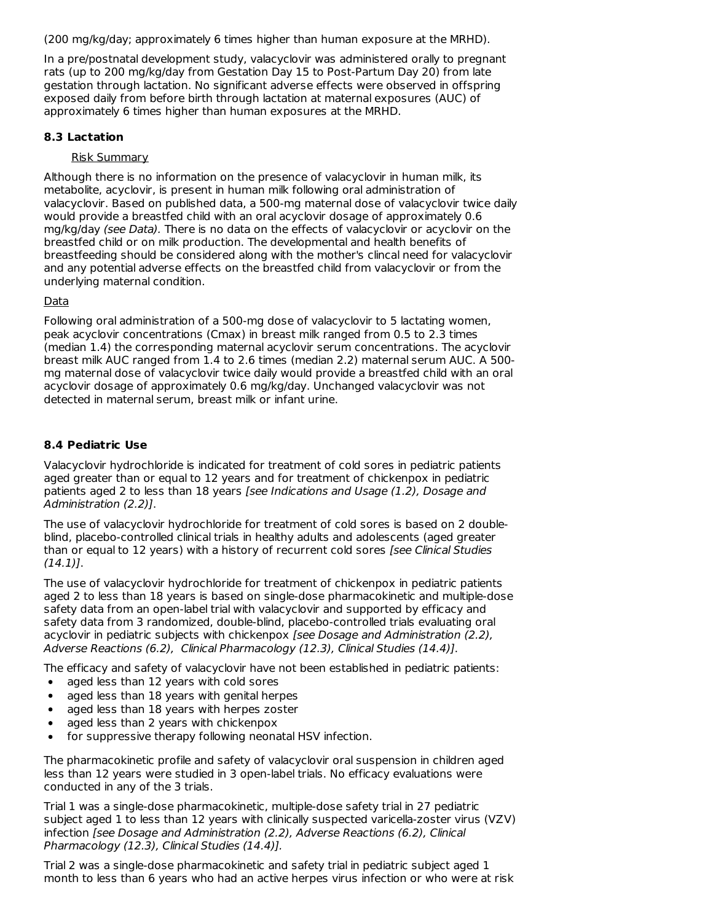(200 mg/kg/day; approximately 6 times higher than human exposure at the MRHD).

In a pre/postnatal development study, valacyclovir was administered orally to pregnant rats (up to 200 mg/kg/day from Gestation Day 15 to Post-Partum Day 20) from late gestation through lactation. No significant adverse effects were observed in offspring exposed daily from before birth through lactation at maternal exposures (AUC) of approximately 6 times higher than human exposures at the MRHD.

### **8.3 Lactation**

### Risk Summary

Although there is no information on the presence of valacyclovir in human milk, its metabolite, acyclovir, is present in human milk following oral administration of valacyclovir. Based on published data, a 500-mg maternal dose of valacyclovir twice daily would provide a breastfed child with an oral acyclovir dosage of approximately 0.6 mg/kg/day (see Data). There is no data on the effects of valacyclovir or acyclovir on the breastfed child or on milk production. The developmental and health benefits of breastfeeding should be considered along with the mother's clincal need for valacyclovir and any potential adverse effects on the breastfed child from valacyclovir or from the underlying maternal condition.

### Data

Following oral administration of a 500-mg dose of valacyclovir to 5 lactating women, peak acyclovir concentrations (Cmax) in breast milk ranged from 0.5 to 2.3 times (median 1.4) the corresponding maternal acyclovir serum concentrations. The acyclovir breast milk AUC ranged from 1.4 to 2.6 times (median 2.2) maternal serum AUC. A 500 mg maternal dose of valacyclovir twice daily would provide a breastfed child with an oral acyclovir dosage of approximately 0.6 mg/kg/day. Unchanged valacyclovir was not detected in maternal serum, breast milk or infant urine.

### **8.4 Pediatric Use**

Valacyclovir hydrochloride is indicated for treatment of cold sores in pediatric patients aged greater than or equal to 12 years and for treatment of chickenpox in pediatric patients aged 2 to less than 18 years [see Indications and Usage (1.2), Dosage and Administration (2.2)].

The use of valacyclovir hydrochloride for treatment of cold sores is based on 2 doubleblind, placebo-controlled clinical trials in healthy adults and adolescents (aged greater than or equal to 12 years) with a history of recurrent cold sores [see Clinical Studies (14.1)].

The use of valacyclovir hydrochloride for treatment of chickenpox in pediatric patients aged 2 to less than 18 years is based on single-dose pharmacokinetic and multiple-dose safety data from an open-label trial with valacyclovir and supported by efficacy and safety data from 3 randomized, double-blind, placebo-controlled trials evaluating oral acyclovir in pediatric subjects with chickenpox [see Dosage and Administration (2.2), Adverse Reactions (6.2), Clinical Pharmacology (12.3), Clinical Studies (14.4)].

The efficacy and safety of valacyclovir have not been established in pediatric patients:

- aged less than 12 years with cold sores
- aged less than 18 years with genital herpes
- aged less than 18 years with herpes zoster  $\bullet$
- $\bullet$ aged less than 2 years with chickenpox
- for suppressive therapy following neonatal HSV infection.

The pharmacokinetic profile and safety of valacyclovir oral suspension in children aged less than 12 years were studied in 3 open-label trials. No efficacy evaluations were conducted in any of the 3 trials.

Trial 1 was a single-dose pharmacokinetic, multiple-dose safety trial in 27 pediatric subject aged 1 to less than 12 years with clinically suspected varicella-zoster virus (VZV) infection [see Dosage and Administration (2.2), Adverse Reactions (6.2), Clinical Pharmacology (12.3), Clinical Studies (14.4)].

Trial 2 was a single-dose pharmacokinetic and safety trial in pediatric subject aged 1 month to less than 6 years who had an active herpes virus infection or who were at risk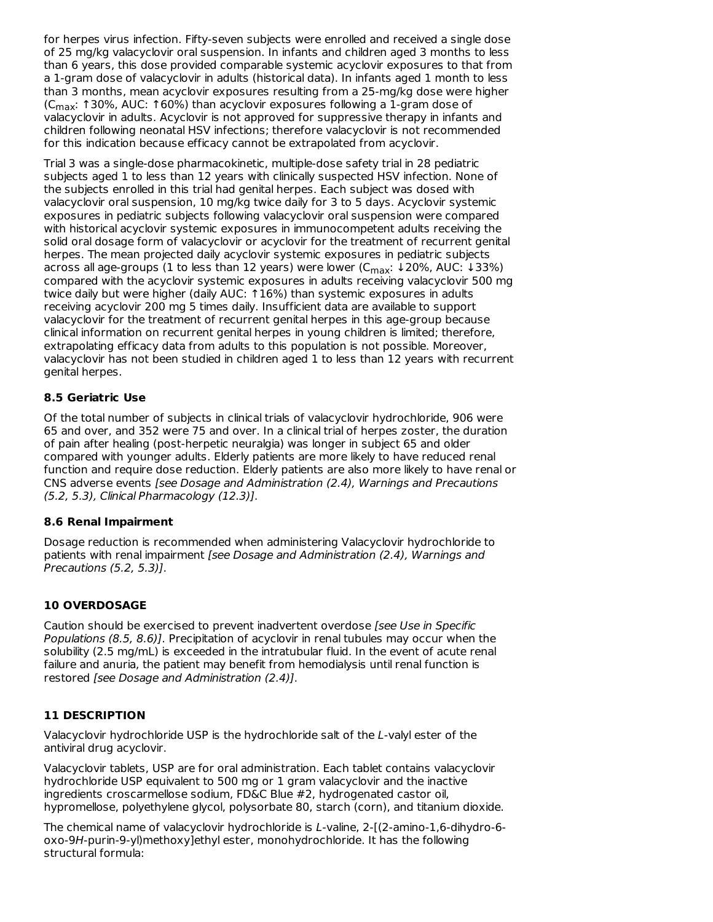for herpes virus infection. Fifty-seven subjects were enrolled and received a single dose of 25 mg/kg valacyclovir oral suspension. In infants and children aged 3 months to less than 6 years, this dose provided comparable systemic acyclovir exposures to that from a 1-gram dose of valacyclovir in adults (historical data). In infants aged 1 month to less than 3 months, mean acyclovir exposures resulting from a 25-mg/kg dose were higher (C<sub>max</sub>: ↑30%, AUC: ↑60%) than acyclovir exposures following a 1-gram dose of valacyclovir in adults. Acyclovir is not approved for suppressive therapy in infants and children following neonatal HSV infections; therefore valacyclovir is not recommended for this indication because efficacy cannot be extrapolated from acyclovir.

Trial 3 was a single-dose pharmacokinetic, multiple-dose safety trial in 28 pediatric subjects aged 1 to less than 12 years with clinically suspected HSV infection. None of the subjects enrolled in this trial had genital herpes. Each subject was dosed with valacyclovir oral suspension, 10 mg/kg twice daily for 3 to 5 days. Acyclovir systemic exposures in pediatric subjects following valacyclovir oral suspension were compared with historical acyclovir systemic exposures in immunocompetent adults receiving the solid oral dosage form of valacyclovir or acyclovir for the treatment of recurrent genital herpes. The mean projected daily acyclovir systemic exposures in pediatric subjects across all age-groups (1 to less than 12 years) were lower (C<sub>max</sub>: ↓20%, AUC: ↓33%) compared with the acyclovir systemic exposures in adults receiving valacyclovir 500 mg twice daily but were higher (daily AUC: ↑16%) than systemic exposures in adults receiving acyclovir 200 mg 5 times daily. Insufficient data are available to support valacyclovir for the treatment of recurrent genital herpes in this age-group because clinical information on recurrent genital herpes in young children is limited; therefore, extrapolating efficacy data from adults to this population is not possible. Moreover, valacyclovir has not been studied in children aged 1 to less than 12 years with recurrent genital herpes.

# **8.5 Geriatric Use**

Of the total number of subjects in clinical trials of valacyclovir hydrochloride, 906 were 65 and over, and 352 were 75 and over. In a clinical trial of herpes zoster, the duration of pain after healing (post-herpetic neuralgia) was longer in subject 65 and older compared with younger adults. Elderly patients are more likely to have reduced renal function and require dose reduction. Elderly patients are also more likely to have renal or CNS adverse events [see Dosage and Administration (2.4), Warnings and Precautions (5.2, 5.3), Clinical Pharmacology (12.3)].

#### **8.6 Renal Impairment**

Dosage reduction is recommended when administering Valacyclovir hydrochloride to patients with renal impairment [see Dosage and Administration (2.4), Warnings and Precautions (5.2, 5.3)].

# **10 OVERDOSAGE**

Caution should be exercised to prevent inadvertent overdose [see Use in Specific Populations (8.5, 8.6)]. Precipitation of acyclovir in renal tubules may occur when the solubility (2.5 mg/mL) is exceeded in the intratubular fluid. In the event of acute renal failure and anuria, the patient may benefit from hemodialysis until renal function is restored [see Dosage and Administration (2.4)].

#### **11 DESCRIPTION**

Valacyclovir hydrochloride USP is the hydrochloride salt of the L-valyl ester of the antiviral drug acyclovir.

Valacyclovir tablets, USP are for oral administration. Each tablet contains valacyclovir hydrochloride USP equivalent to 500 mg or 1 gram valacyclovir and the inactive ingredients croscarmellose sodium, FD&C Blue #2, hydrogenated castor oil, hypromellose, polyethylene glycol, polysorbate 80, starch (corn), and titanium dioxide.

The chemical name of valacyclovir hydrochloride is L-valine, 2-[(2-amino-1,6-dihydro-6 oxo-9H-purin-9-yl)methoxy]ethyl ester, monohydrochloride. It has the following structural formula: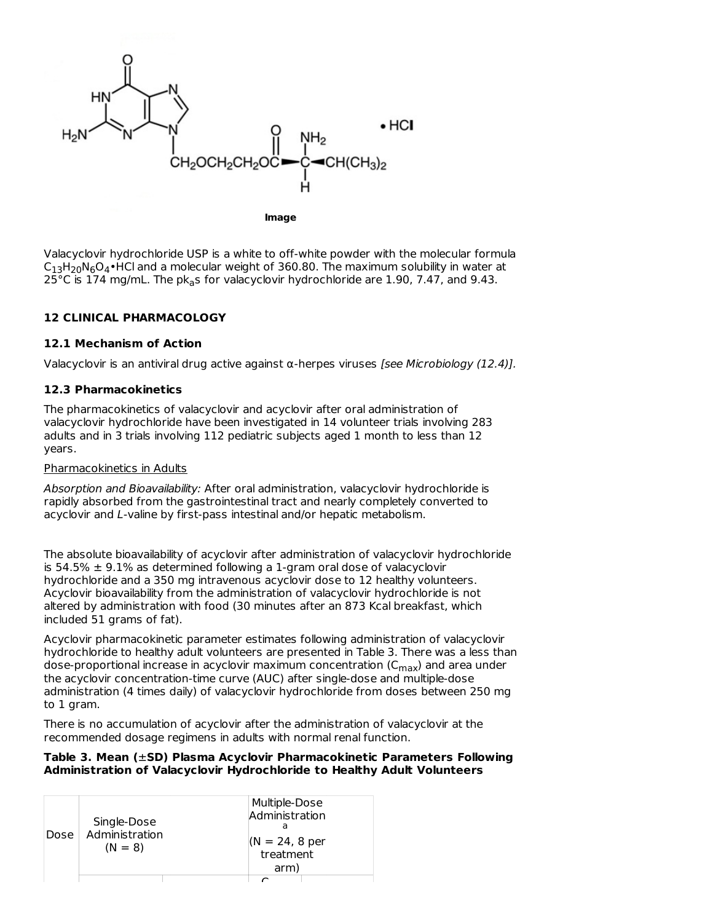

**Image**

Valacyclovir hydrochloride USP is a white to off-white powder with the molecular formula  $C_{13}H_{20}N_6O_4\cdot$ HCl and a molecular weight of 360.80. The maximum solubility in water at 25°C is 174 mg/mL. The p $k_{\sf a}$ s for valacyclovir hydrochloride are 1.90, 7.47, and 9.43.

# **12 CLINICAL PHARMACOLOGY**

#### **12.1 Mechanism of Action**

Valacyclovir is an antiviral drug active against  $\alpha$ -herpes viruses [see Microbiology (12.4)].

#### **12.3 Pharmacokinetics**

The pharmacokinetics of valacyclovir and acyclovir after oral administration of valacyclovir hydrochloride have been investigated in 14 volunteer trials involving 283 adults and in 3 trials involving 112 pediatric subjects aged 1 month to less than 12 years.

#### Pharmacokinetics in Adults

Absorption and Bioavailability: After oral administration, valacyclovir hydrochloride is rapidly absorbed from the gastrointestinal tract and nearly completely converted to acyclovir and L-valine by first-pass intestinal and/or hepatic metabolism.

The absolute bioavailability of acyclovir after administration of valacyclovir hydrochloride is 54.5%  $\pm$  9.1% as determined following a 1-gram oral dose of valacyclovir hydrochloride and a 350 mg intravenous acyclovir dose to 12 healthy volunteers. Acyclovir bioavailability from the administration of valacyclovir hydrochloride is not altered by administration with food (30 minutes after an 873 Kcal breakfast, which included 51 grams of fat).

Acyclovir pharmacokinetic parameter estimates following administration of valacyclovir hydrochloride to healthy adult volunteers are presented in Table 3. There was a less than dose-proportional increase in acyclovir maximum concentration (C<sub>max</sub>) and area under the acyclovir concentration-time curve (AUC) after single-dose and multiple-dose administration (4 times daily) of valacyclovir hydrochloride from doses between 250 mg to 1 gram.

There is no accumulation of acyclovir after the administration of valacyclovir at the recommended dosage regimens in adults with normal renal function.

#### **Table 3. Mean (**±**SD) Plasma Acyclovir Pharmacokinetic Parameters Following Administration of Valacyclovir Hydrochloride to Healthy Adult Volunteers**

| Dose | Single-Dose<br>Administration<br>$(N = 8)$ | Multiple-Dose<br>Administration<br>$(N = 24, 8$ per<br>treatment<br>arm) |
|------|--------------------------------------------|--------------------------------------------------------------------------|
|      |                                            |                                                                          |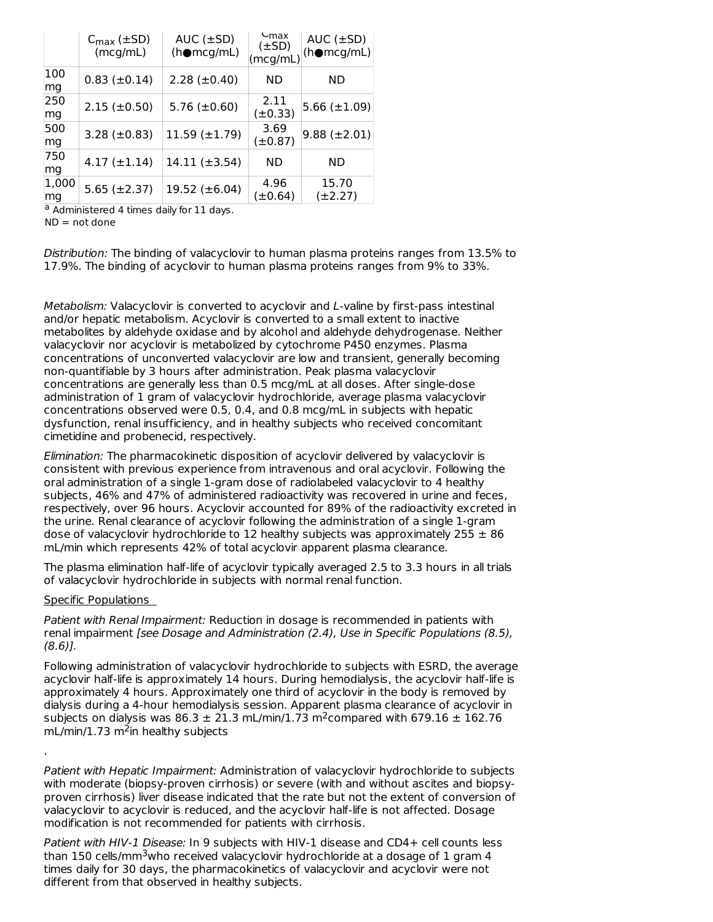|             | $C_{\text{max}} (\pm SD)$<br>(mcq/mL) | $AUC$ ( $\pm SD$ )<br>$(h\bullet mcg/mL)$ | $L_{\text{max}}$<br>$(\pm SD)$<br>(mcg/mL) | AUC $(\pm SD)$<br>$(h\bullet mcg/mL)$ |
|-------------|---------------------------------------|-------------------------------------------|--------------------------------------------|---------------------------------------|
| 100<br>mg   | $0.83 \ (\pm 0.14)$                   | $2.28 \ (\pm 0.40)$                       | ND                                         | ND.                                   |
| 250<br>mg   | $2.15 \ (\pm 0.50)$                   | $5.76 \ (\pm 0.60)$                       | 2.11<br>$(\pm 0.33)$                       | 5.66 $(\pm 1.09)$                     |
| 500<br>mg   | 3.28 $(\pm 0.83)$                     | $11.59 \ (\pm 1.79)$                      | 3.69<br>(±0.87)                            | $9.88 (\pm 2.01)$                     |
| 750<br>mg   | $4.17 \ (\pm 1.14)$                   | $14.11 (\pm 3.54)$                        | ND                                         | ND.                                   |
| 1,000<br>mg | $5.65 (\pm 2.37)$                     | 19.52 $(\pm 6.04)$                        | 4.96<br>(±0.64)                            | 15.70<br>$(\pm 2.27)$                 |

<sup>a</sup> Administered 4 times daily for 11 days.

 $ND = not done$ 

Distribution: The binding of valacyclovir to human plasma proteins ranges from 13.5% to 17.9%. The binding of acyclovir to human plasma proteins ranges from 9% to 33%.

Metabolism: Valacyclovir is converted to acyclovir and L-valine by first-pass intestinal and/or hepatic metabolism. Acyclovir is converted to a small extent to inactive metabolites by aldehyde oxidase and by alcohol and aldehyde dehydrogenase. Neither valacyclovir nor acyclovir is metabolized by cytochrome P450 enzymes. Plasma concentrations of unconverted valacyclovir are low and transient, generally becoming non-quantifiable by 3 hours after administration. Peak plasma valacyclovir concentrations are generally less than 0.5 mcg/mL at all doses. After single-dose administration of 1 gram of valacyclovir hydrochloride, average plasma valacyclovir concentrations observed were 0.5, 0.4, and 0.8 mcg/mL in subjects with hepatic dysfunction, renal insufficiency, and in healthy subjects who received concomitant cimetidine and probenecid, respectively.

Elimination: The pharmacokinetic disposition of acyclovir delivered by valacyclovir is consistent with previous experience from intravenous and oral acyclovir. Following the oral administration of a single 1-gram dose of radiolabeled valacyclovir to 4 healthy subjects, 46% and 47% of administered radioactivity was recovered in urine and feces, respectively, over 96 hours. Acyclovir accounted for 89% of the radioactivity excreted in the urine. Renal clearance of acyclovir following the administration of a single 1-gram dose of valacyclovir hydrochloride to 12 healthy subjects was approximately  $255 \pm 86$ mL/min which represents 42% of total acyclovir apparent plasma clearance.

The plasma elimination half-life of acyclovir typically averaged 2.5 to 3.3 hours in all trials of valacyclovir hydrochloride in subjects with normal renal function.

#### Specific Populations

.

Patient with Renal Impairment: Reduction in dosage is recommended in patients with renal impairment [see Dosage and Administration (2.4), Use in Specific Populations (8.5),  $(8.6)$ .

Following administration of valacyclovir hydrochloride to subjects with ESRD, the average acyclovir half-life is approximately 14 hours. During hemodialysis, the acyclovir half-life is approximately 4 hours. Approximately one third of acyclovir in the body is removed by dialysis during a 4-hour hemodialysis session. Apparent plasma clearance of acyclovir in subjects on dialysis was 86.3  $\pm$  21.3 mL/min/1.73 m<sup>2</sup>compared with 679.16  $\pm$  162.76  $mL/min/1.73 m<sup>2</sup>$ in healthy subjects

Patient with Hepatic Impairment: Administration of valacyclovir hydrochloride to subjects with moderate (biopsy-proven cirrhosis) or severe (with and without ascites and biopsyproven cirrhosis) liver disease indicated that the rate but not the extent of conversion of valacyclovir to acyclovir is reduced, and the acyclovir half-life is not affected. Dosage modification is not recommended for patients with cirrhosis.

Patient with HIV-1 Disease: In 9 subjects with HIV-1 disease and CD4+ cell counts less than 150 cells/mm $^3$ who received valacyclovir hydrochloride at a dosage of 1 gram 4 times daily for 30 days, the pharmacokinetics of valacyclovir and acyclovir were not different from that observed in healthy subjects.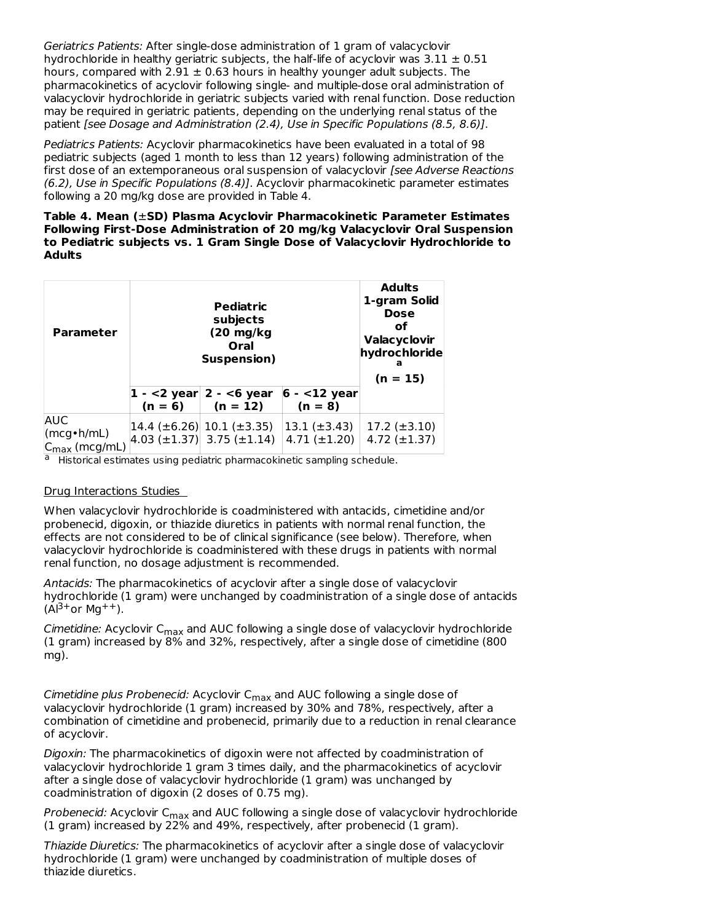Geriatrics Patients: After single-dose administration of 1 gram of valacyclovir hydrochloride in healthy geriatric subjects, the half-life of acyclovir was  $3.11 \pm 0.51$ hours, compared with 2.91  $\pm$  0.63 hours in healthy younger adult subjects. The pharmacokinetics of acyclovir following single- and multiple-dose oral administration of valacyclovir hydrochloride in geriatric subjects varied with renal function. Dose reduction may be required in geriatric patients, depending on the underlying renal status of the patient [see Dosage and Administration (2.4), Use in Specific Populations (8.5, 8.6)].

Pediatrics Patients: Acyclovir pharmacokinetics have been evaluated in a total of 98 pediatric subjects (aged 1 month to less than 12 years) following administration of the first dose of an extemporaneous oral suspension of valacyclovir [see Adverse Reactions (6.2), Use in Specific Populations (8.4)]. Acyclovir pharmacokinetic parameter estimates following a 20 mg/kg dose are provided in Table 4.

**Table 4. Mean (**±**SD) Plasma Acyclovir Pharmacokinetic Parameter Estimates Following First-Dose Administration of 20 mg/kg Valacyclovir Oral Suspension to Pediatric subjects vs. 1 Gram Single Dose of Valacyclovir Hydrochloride to Adults**

| <b>Parameter</b>                                                                                   |           | <b>Adults</b><br>1-gram Solid<br><b>Dose</b><br>οf<br>Valacyclovir<br>hydrochloride<br>а<br>$(n = 15)$ |                                        |                                            |
|----------------------------------------------------------------------------------------------------|-----------|--------------------------------------------------------------------------------------------------------|----------------------------------------|--------------------------------------------|
|                                                                                                    | $(n = 6)$ | $ 1 - 2 \text{ year} $ 2 - <6 year<br>$(n = 12)$                                                       | $6 - 12$ year<br>$(n = 8)$             |                                            |
| <b>AUC</b><br>$\langle \text{mcg} \cdot \text{h} / \text{mL} \rangle$<br>$C_{\text{max}}$ (mcg/mL) |           | $ 14.4 \ (\pm 6.26)  10.1 \ (\pm 3.35)$<br>$ 4.03 \ (\pm 1.37)  3.75 \ (\pm 1.14)$                     | $13.1 (\pm 3.43)$<br>$4.71 (\pm 1.20)$ | $17.2 \ (\pm 3.10)$<br>$4.72 \ (\pm 1.37)$ |

<sup>a</sup> Historical estimates using pediatric pharmacokinetic sampling schedule.

#### Drug Interactions Studies

When valacyclovir hydrochloride is coadministered with antacids, cimetidine and/or probenecid, digoxin, or thiazide diuretics in patients with normal renal function, the effects are not considered to be of clinical significance (see below). Therefore, when valacyclovir hydrochloride is coadministered with these drugs in patients with normal renal function, no dosage adjustment is recommended.

Antacids: The pharmacokinetics of acyclovir after a single dose of valacyclovir hydrochloride (1 gram) were unchanged by coadministration of a single dose of antacids  $(A|^{3+}$ or Mg<sup>++</sup>).

*Cimetidine:* Acyclovir C<sub>max</sub> and AUC following a single dose of valacyclovir hydrochloride (1 gram) increased by 8% and 32%, respectively, after a single dose of cimetidine (800 mg).

*Cimetidine plus Probenecid: A*cyclovir C<sub>max</sub> and AUC following a single dose of valacyclovir hydrochloride (1 gram) increased by 30% and 78%, respectively, after a combination of cimetidine and probenecid, primarily due to a reduction in renal clearance of acyclovir.

Digoxin: The pharmacokinetics of digoxin were not affected by coadministration of valacyclovir hydrochloride 1 gram 3 times daily, and the pharmacokinetics of acyclovir after a single dose of valacyclovir hydrochloride (1 gram) was unchanged by coadministration of digoxin (2 doses of 0.75 mg).

*Probenecid:* Acyclovir C<sub>max</sub> and AUC following a single dose of valacyclovir hydrochloride (1 gram) increased by 22% and 49%, respectively, after probenecid (1 gram).

Thiazide Diuretics: The pharmacokinetics of acyclovir after a single dose of valacyclovir hydrochloride (1 gram) were unchanged by coadministration of multiple doses of thiazide diuretics.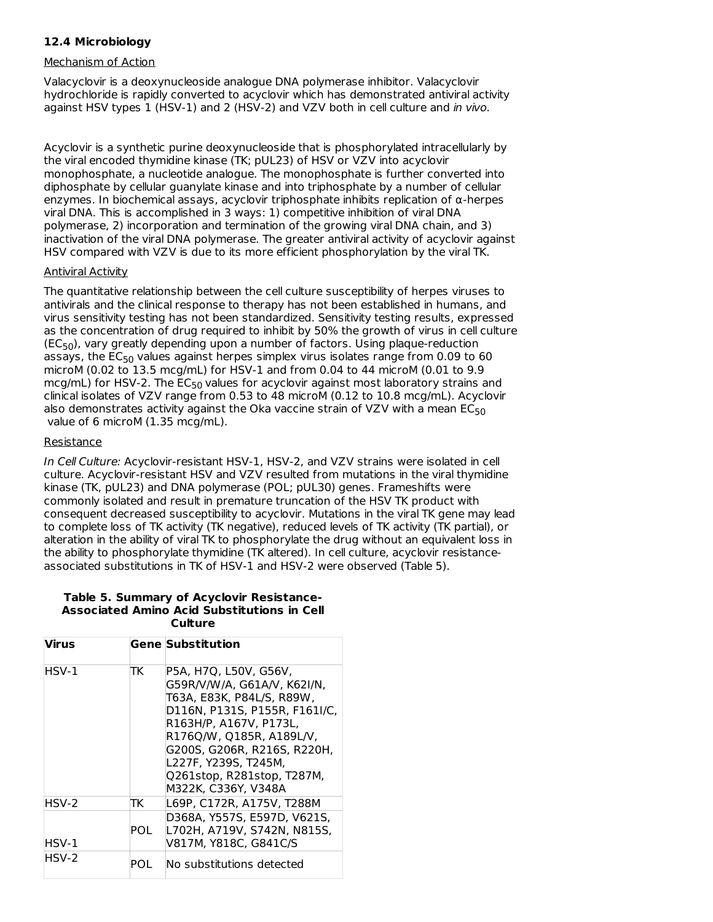# **12.4 Microbiology**

#### Mechanism of Action

Valacyclovir is a deoxynucleoside analogue DNA polymerase inhibitor. Valacyclovir hydrochloride is rapidly converted to acyclovir which has demonstrated antiviral activity against HSV types 1 (HSV-1) and 2 (HSV-2) and VZV both in cell culture and in vivo.

Acyclovir is a synthetic purine deoxynucleoside that is phosphorylated intracellularly by the viral encoded thymidine kinase (TK; pUL23) of HSV or VZV into acyclovir monophosphate, a nucleotide analogue. The monophosphate is further converted into diphosphate by cellular guanylate kinase and into triphosphate by a number of cellular enzymes. In biochemical assays, acyclovir triphosphate inhibits replication of α-herpes viral DNA. This is accomplished in 3 ways: 1) competitive inhibition of viral DNA polymerase, 2) incorporation and termination of the growing viral DNA chain, and 3) inactivation of the viral DNA polymerase. The greater antiviral activity of acyclovir against HSV compared with VZV is due to its more efficient phosphorylation by the viral TK.

#### Antiviral Activity

The quantitative relationship between the cell culture susceptibility of herpes viruses to antivirals and the clinical response to therapy has not been established in humans, and virus sensitivity testing has not been standardized. Sensitivity testing results, expressed as the concentration of drug required to inhibit by 50% the growth of virus in cell culture  $(EC_{50})$ , vary greatly depending upon a number of factors. Using plaque-reduction assays, the  $\mathsf{EC}_{50}$  values against herpes simplex virus isolates range from 0.09 to 60 microM (0.02 to 13.5 mcg/mL) for HSV-1 and from 0.04 to 44 microM (0.01 to 9.9 mcg/mL) for HSV-2. The  $\mathsf{EC}_{50}$  values for acyclovir against most laboratory strains and clinical isolates of VZV range from 0.53 to 48 microM (0.12 to 10.8 mcg/mL). Acyclovir also demonstrates activity against the Oka vaccine strain of VZV with a mean  $\mathsf{EC}_{50}$ value of 6 microM (1.35 mcg/mL).

#### **Resistance**

In Cell Culture: Acyclovir-resistant HSV-1, HSV-2, and VZV strains were isolated in cell culture. Acyclovir-resistant HSV and VZV resulted from mutations in the viral thymidine kinase (TK, pUL23) and DNA polymerase (POL; pUL30) genes. Frameshifts were commonly isolated and result in premature truncation of the HSV TK product with consequent decreased susceptibility to acyclovir. Mutations in the viral TK gene may lead to complete loss of TK activity (TK negative), reduced levels of TK activity (TK partial), or alteration in the ability of viral TK to phosphorylate the drug without an equivalent loss in the ability to phosphorylate thymidine (TK altered). In cell culture, acyclovir resistanceassociated substitutions in TK of HSV-1 and HSV-2 were observed (Table 5).

#### **Table 5. Summary of Acyclovir Resistance-Associated Amino Acid Substitutions in Cell Culture**

| <b>Virus</b> |            | <b>Gene Substitution</b>                                                                                                                                                                                                                                                             |
|--------------|------------|--------------------------------------------------------------------------------------------------------------------------------------------------------------------------------------------------------------------------------------------------------------------------------------|
| HSV-1        | ТK         | P5A, H7Q, L50V, G56V,<br>G59R/V/W/A, G61A/V, K62I/N,<br>T63A, E83K, P84L/S, R89W,<br>D116N, P131S, P155R, F161I/C,<br>R163H/P. A167V. P173L.<br>R176Q/W, Q185R, A189L/V,<br>G200S, G206R, R216S, R220H,<br>L227F, Y239S, T245M,<br>Q261stop, R281stop, T287M,<br>M322K, C336Y, V348A |
| HSV-2        | TK         | L69P. C172R. A175V. T288M                                                                                                                                                                                                                                                            |
| HSV-1        | <b>POL</b> | D368A, Y557S, E597D, V621S,<br>L702H, A719V, S742N, N815S,<br>V817M. Y818C. G841C/S                                                                                                                                                                                                  |
| HSV-2        | POL        | No substitutions detected                                                                                                                                                                                                                                                            |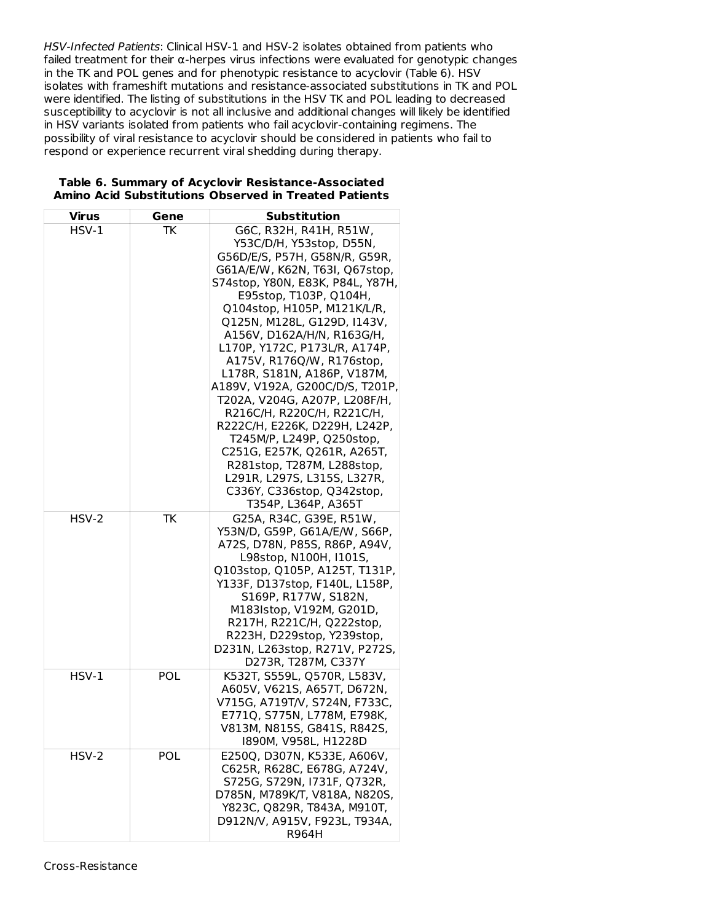HSV-Infected Patients: Clinical HSV-1 and HSV-2 isolates obtained from patients who failed treatment for their  $\alpha$ -herpes virus infections were evaluated for genotypic changes in the TK and POL genes and for phenotypic resistance to acyclovir (Table 6). HSV isolates with frameshift mutations and resistance-associated substitutions in TK and POL were identified. The listing of substitutions in the HSV TK and POL leading to decreased susceptibility to acyclovir is not all inclusive and additional changes will likely be identified in HSV variants isolated from patients who fail acyclovir-containing regimens. The possibility of viral resistance to acyclovir should be considered in patients who fail to respond or experience recurrent viral shedding during therapy.

| Virus   | Gene       | Substitution                                                                                                                                                                                                                                                                                                                                                                                                                                                                                                                                                                                                                                                                                  |
|---------|------------|-----------------------------------------------------------------------------------------------------------------------------------------------------------------------------------------------------------------------------------------------------------------------------------------------------------------------------------------------------------------------------------------------------------------------------------------------------------------------------------------------------------------------------------------------------------------------------------------------------------------------------------------------------------------------------------------------|
| $HSV-1$ | TK         | G6C, R32H, R41H, R51W,<br>Y53C/D/H, Y53stop, D55N,<br>G56D/E/S, P57H, G58N/R, G59R,<br>G61A/E/W, K62N, T63I, Q67stop,<br>S74stop, Y80N, E83K, P84L, Y87H,<br>E95stop, T103P, Q104H,<br>Q104stop, H105P, M121K/L/R,<br>Q125N, M128L, G129D, I143V,<br>A156V, D162A/H/N, R163G/H,<br>L170P, Y172C, P173L/R, A174P,<br>A175V, R176Q/W, R176stop,<br>L178R, S181N, A186P, V187M,<br>A189V, V192A, G200C/D/S, T201P,<br>T202A, V204G, A207P, L208F/H,<br>R216C/H, R220C/H, R221C/H,<br>R222C/H, E226K, D229H, L242P,<br>T245M/P, L249P, Q250stop,<br>C251G, E257K, Q261R, A265T,<br>R281stop, T287M, L288stop,<br>L291R, L297S, L315S, L327R,<br>C336Y, C336stop, Q342stop,<br>T354P, L364P, A365T |
| HSV-2   | TK         | G25A, R34C, G39E, R51W,<br>Y53N/D, G59P, G61A/E/W, S66P,<br>A72S, D78N, P85S, R86P, A94V,<br>L98stop, N100H, I101S,<br>Q103stop, Q105P, A125T, T131P,<br>Y133F, D137stop, F140L, L158P,<br>S169P, R177W, S182N,<br>M183Istop, V192M, G201D,<br>R217H, R221C/H, Q222stop,<br>R223H, D229stop, Y239stop,<br>D231N, L263stop, R271V, P272S,<br>D273R, T287M, C337Y                                                                                                                                                                                                                                                                                                                               |
| $HSV-1$ | <b>POL</b> | K532T, S559L, Q570R, L583V,<br>A605V, V621S, A657T, D672N,<br>V715G, A719T/V, S724N, F733C,<br>E771Q, S775N, L778M, E798K,<br>V813M, N815S, G841S, R842S,<br>1890M, V958L, H1228D                                                                                                                                                                                                                                                                                                                                                                                                                                                                                                             |
| HSV-2   | POL        | E250Q, D307N, K533E, A606V,<br>C625R, R628C, E678G, A724V,<br>S725G, S729N, I731F, Q732R,<br>D785N, M789K/T, V818A, N820S,<br>Y823C, Q829R, T843A, M910T,<br>D912N/V, A915V, F923L, T934A,<br>R964H                                                                                                                                                                                                                                                                                                                                                                                                                                                                                           |

### **Table 6. Summary of Acyclovir Resistance-Associated Amino Acid Substitutions Observed in Treated Patients**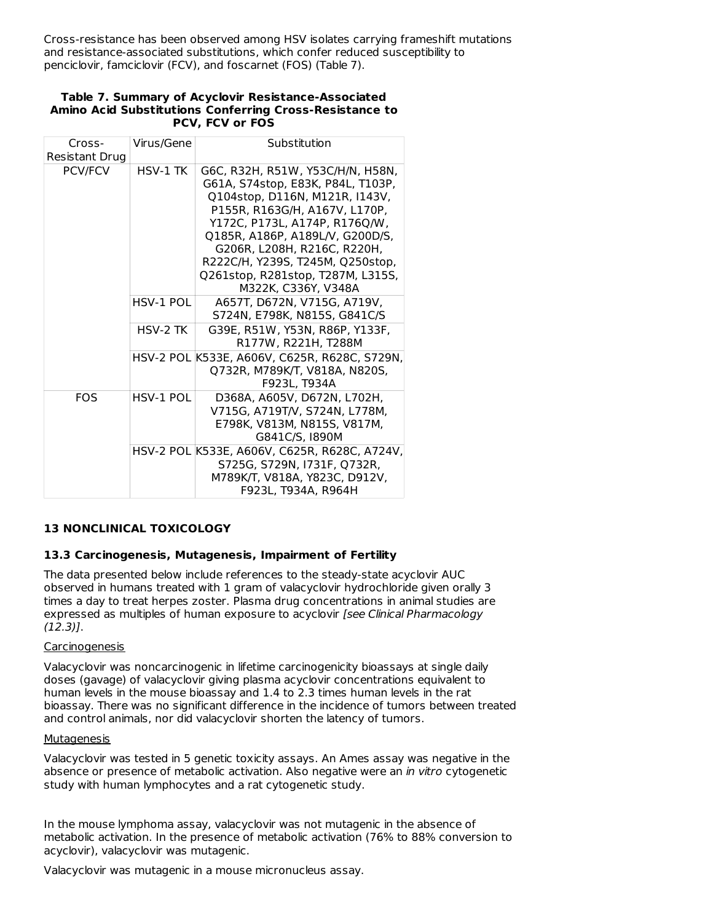Cross-resistance has been observed among HSV isolates carrying frameshift mutations and resistance-associated substitutions, which confer reduced susceptibility to penciclovir, famciclovir (FCV), and foscarnet (FOS) (Table 7).

| Cross-<br>Resistant Drug | Virus/Gene | Substitution                                                                                                                                                                                                                                                                                                                                |
|--------------------------|------------|---------------------------------------------------------------------------------------------------------------------------------------------------------------------------------------------------------------------------------------------------------------------------------------------------------------------------------------------|
| <b>PCV/FCV</b>           | HSV-1 TK   | G6C, R32H, R51W, Y53C/H/N, H58N,<br>G61A, S74stop, E83K, P84L, T103P,<br>Q104stop, D116N, M121R, I143V,<br>P155R, R163G/H, A167V, L170P,<br>Y172C. P173L. A174P. R176O/W.<br>Q185R, A186P, A189L/V, G200D/S,<br>G206R, L208H, R216C, R220H,<br>R222C/H, Y239S, T245M, Q250stop,<br>Q261stop, R281stop, T287M, L315S,<br>M322K, C336Y, V348A |
|                          | HSV-1 POL  | A657T, D672N, V715G, A719V,<br>S724N, E798K, N815S, G841C/S                                                                                                                                                                                                                                                                                 |
|                          | $HSV-2TK$  | G39E, R51W, Y53N, R86P, Y133F,<br>R177W, R221H, T288M                                                                                                                                                                                                                                                                                       |
|                          |            | HSV-2 POL K533E, A606V, C625R, R628C, S729N,<br>Q732R, M789K/T, V818A, N820S,<br>F923L, T934A                                                                                                                                                                                                                                               |
| <b>FOS</b>               | HSV-1 POL  | D368A, A605V, D672N, L702H,<br>V715G, A719T/V, S724N, L778M,<br>E798K, V813M, N815S, V817M,<br>G841C/S, I890M                                                                                                                                                                                                                               |
|                          |            | HSV-2 POL K533E, A606V, C625R, R628C, A724V,<br>S725G, S729N, I731F, Q732R,<br>M789K/T, V818A, Y823C, D912V,<br>F923L, T934A, R964H                                                                                                                                                                                                         |

#### **Table 7. Summary of Acyclovir Resistance-Associated Amino Acid Substitutions Conferring Cross-Resistance to PCV, FCV or FOS**

#### **13 NONCLINICAL TOXICOLOGY**

#### **13.3 Carcinogenesis, Mutagenesis, Impairment of Fertility**

The data presented below include references to the steady-state acyclovir AUC observed in humans treated with 1 gram of valacyclovir hydrochloride given orally 3 times a day to treat herpes zoster. Plasma drug concentrations in animal studies are expressed as multiples of human exposure to acyclovir [see Clinical Pharmacology  $(12.3)$ ].

#### Carcinogenesis

Valacyclovir was noncarcinogenic in lifetime carcinogenicity bioassays at single daily doses (gavage) of valacyclovir giving plasma acyclovir concentrations equivalent to human levels in the mouse bioassay and 1.4 to 2.3 times human levels in the rat bioassay. There was no significant difference in the incidence of tumors between treated and control animals, nor did valacyclovir shorten the latency of tumors.

#### Mutagenesis

Valacyclovir was tested in 5 genetic toxicity assays. An Ames assay was negative in the absence or presence of metabolic activation. Also negative were an in vitro cytogenetic study with human lymphocytes and a rat cytogenetic study.

In the mouse lymphoma assay, valacyclovir was not mutagenic in the absence of metabolic activation. In the presence of metabolic activation (76% to 88% conversion to acyclovir), valacyclovir was mutagenic.

Valacyclovir was mutagenic in a mouse micronucleus assay.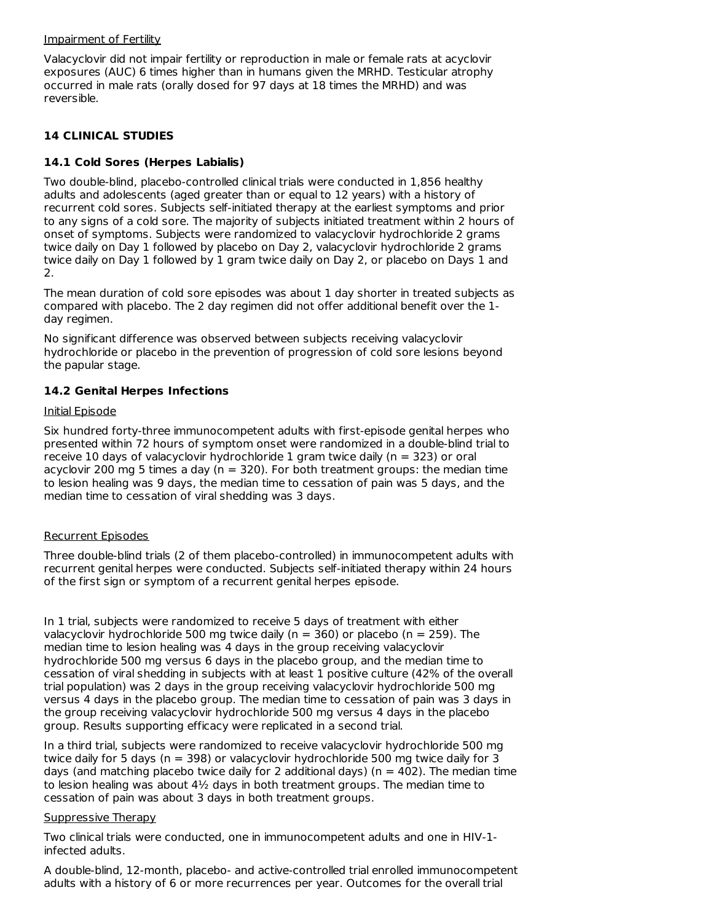#### Impairment of Fertility

Valacyclovir did not impair fertility or reproduction in male or female rats at acyclovir exposures (AUC) 6 times higher than in humans given the MRHD. Testicular atrophy occurred in male rats (orally dosed for 97 days at 18 times the MRHD) and was reversible.

### **14 CLINICAL STUDIES**

### **14.1 Cold Sores (Herpes Labialis)**

Two double-blind, placebo-controlled clinical trials were conducted in 1,856 healthy adults and adolescents (aged greater than or equal to 12 years) with a history of recurrent cold sores. Subjects self-initiated therapy at the earliest symptoms and prior to any signs of a cold sore. The majority of subjects initiated treatment within 2 hours of onset of symptoms. Subjects were randomized to valacyclovir hydrochloride 2 grams twice daily on Day 1 followed by placebo on Day 2, valacyclovir hydrochloride 2 grams twice daily on Day 1 followed by 1 gram twice daily on Day 2, or placebo on Days 1 and 2.

The mean duration of cold sore episodes was about 1 day shorter in treated subjects as compared with placebo. The 2 day regimen did not offer additional benefit over the 1 day regimen.

No significant difference was observed between subjects receiving valacyclovir hydrochloride or placebo in the prevention of progression of cold sore lesions beyond the papular stage.

### **14.2 Genital Herpes Infections**

#### Initial Episode

Six hundred forty-three immunocompetent adults with first-episode genital herpes who presented within 72 hours of symptom onset were randomized in a double-blind trial to receive 10 days of valacyclovir hydrochloride 1 gram twice daily ( $n = 323$ ) or oral acyclovir 200 mg 5 times a day ( $n = 320$ ). For both treatment groups: the median time to lesion healing was 9 days, the median time to cessation of pain was 5 days, and the median time to cessation of viral shedding was 3 days.

#### Recurrent Episodes

Three double-blind trials (2 of them placebo-controlled) in immunocompetent adults with recurrent genital herpes were conducted. Subjects self-initiated therapy within 24 hours of the first sign or symptom of a recurrent genital herpes episode.

In 1 trial, subjects were randomized to receive 5 days of treatment with either valacyclovir hydrochloride 500 mg twice daily ( $n = 360$ ) or placebo ( $n = 259$ ). The median time to lesion healing was 4 days in the group receiving valacyclovir hydrochloride 500 mg versus 6 days in the placebo group, and the median time to cessation of viral shedding in subjects with at least 1 positive culture (42% of the overall trial population) was 2 days in the group receiving valacyclovir hydrochloride 500 mg versus 4 days in the placebo group. The median time to cessation of pain was 3 days in the group receiving valacyclovir hydrochloride 500 mg versus 4 days in the placebo group. Results supporting efficacy were replicated in a second trial.

In a third trial, subjects were randomized to receive valacyclovir hydrochloride 500 mg twice daily for 5 days (n = 398) or valacyclovir hydrochloride 500 mg twice daily for 3 days (and matching placebo twice daily for 2 additional days) ( $n = 402$ ). The median time to lesion healing was about  $4\frac{1}{2}$  days in both treatment groups. The median time to cessation of pain was about 3 days in both treatment groups.

#### Suppressive Therapy

Two clinical trials were conducted, one in immunocompetent adults and one in HIV-1 infected adults.

A double-blind, 12-month, placebo- and active-controlled trial enrolled immunocompetent adults with a history of 6 or more recurrences per year. Outcomes for the overall trial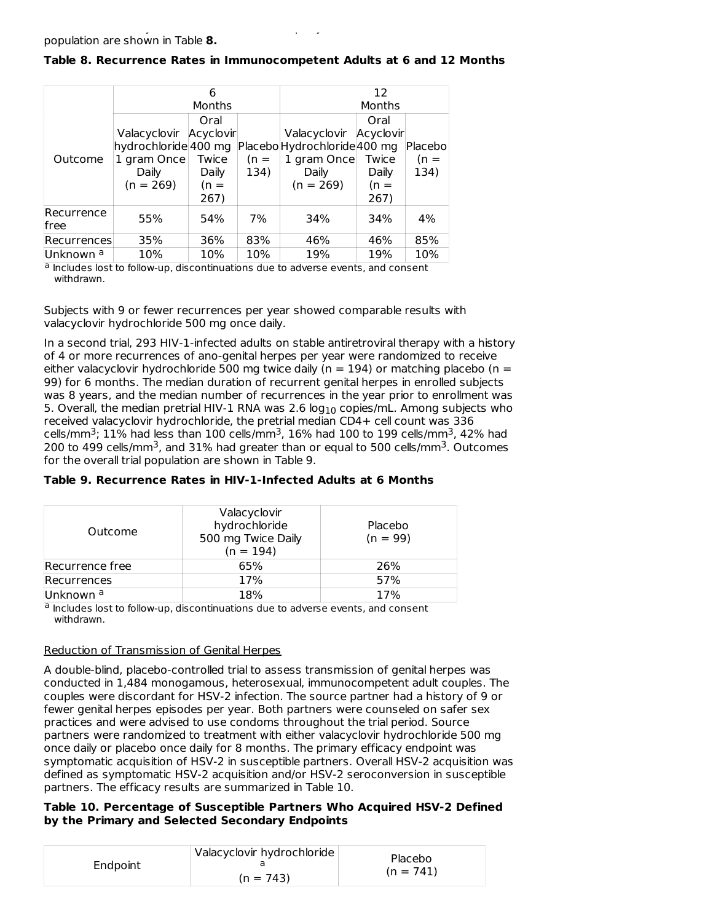|                      |                        | 6      |        | 12                           |        |          |
|----------------------|------------------------|--------|--------|------------------------------|--------|----------|
|                      |                        | Months |        | Months                       |        |          |
|                      |                        | Oral   |        |                              | Oral   |          |
|                      | Valacyclovir Acyclovir |        |        | Valacyclovir Acyclovir       |        |          |
|                      | hydrochloride 400 mg   |        |        | Placebo Hydrochloride 400 mg |        | Placebol |
| Outcome              | 1 gram Once            | Twice  | $(n =$ | 1 gram Once                  | Twice  | $(n =$   |
|                      | Daily                  | Daily  | 134)   | Daily                        | Daily  | 134)     |
|                      | $(n = 269)$            | $(n =$ |        | $(n = 269)$                  | $(n =$ |          |
|                      |                        | 267)   |        |                              | 267)   |          |
| Recurrence           | 55%                    | 54%    | 7%     | 34%                          | 34%    | 4%       |
| lfree                |                        |        |        |                              |        |          |
| Recurrences          | 35%                    | 36%    | 83%    | 46%                          | 46%    | 85%      |
| Unknown <sup>a</sup> | 10%                    | 10%    | 10%    | 19%                          | 19%    | 10%      |

### **Table 8. Recurrence Rates in Immunocompetent Adults at 6 and 12 Months**

adults with a history of 6 or more recurrences per year. Outcomes for the overall trial

a Includes lost to follow-up, discontinuations due to adverse events, and consent withdrawn.

Subjects with 9 or fewer recurrences per year showed comparable results with valacyclovir hydrochloride 500 mg once daily.

In a second trial, 293 HIV-1-infected adults on stable antiretroviral therapy with a history of 4 or more recurrences of ano-genital herpes per year were randomized to receive either valacyclovir hydrochloride 500 mg twice daily ( $n = 194$ ) or matching placebo ( $n =$ 99) for 6 months. The median duration of recurrent genital herpes in enrolled subjects was 8 years, and the median number of recurrences in the year prior to enrollment was 5. Overall, the median pretrial HIV-1 RNA was 2.6  $\log_{10}$  copies/mL. Among subjects who received valacyclovir hydrochloride, the pretrial median CD4+ cell count was 336 cells/mm<sup>3</sup>; 11% had less than 100 cells/mm<sup>3</sup>, 16% had 100 to 199 cells/mm<sup>3</sup>, 42% had 200 to 499 cells/mm<sup>3</sup>, and 31% had greater than or equal to 500 cells/mm<sup>3</sup>. Outcomes for the overall trial population are shown in Table 9.

| Outcome         | Valacyclovir<br>hydrochloride<br>500 mg Twice Daily<br>$(n = 194)$ | Placebo<br>$(n = 99)$ |
|-----------------|--------------------------------------------------------------------|-----------------------|
| Recurrence free | 65%                                                                | 26%                   |
| Recurrences     | 17%                                                                | 57%                   |
| Unknown a       | 18%                                                                | 17%                   |

**Table 9. Recurrence Rates in HIV-1-Infected Adults at 6 Months**

a Includes lost to follow-up, discontinuations due to adverse events, and consent withdrawn.

#### Reduction of Transmission of Genital Herpes

A double-blind, placebo-controlled trial to assess transmission of genital herpes was conducted in 1,484 monogamous, heterosexual, immunocompetent adult couples. The couples were discordant for HSV-2 infection. The source partner had a history of 9 or fewer genital herpes episodes per year. Both partners were counseled on safer sex practices and were advised to use condoms throughout the trial period. Source partners were randomized to treatment with either valacyclovir hydrochloride 500 mg once daily or placebo once daily for 8 months. The primary efficacy endpoint was symptomatic acquisition of HSV-2 in susceptible partners. Overall HSV-2 acquisition was defined as symptomatic HSV-2 acquisition and/or HSV-2 seroconversion in susceptible partners. The efficacy results are summarized in Table 10.

#### **Table 10. Percentage of Susceptible Partners Who Acquired HSV-2 Defined by the Primary and Selected Secondary Endpoints**

| Endpoint | Valacyclovir hydrochloride<br>$(n = 743)$ | Placebo<br>$(n = 741)$ |
|----------|-------------------------------------------|------------------------|
|----------|-------------------------------------------|------------------------|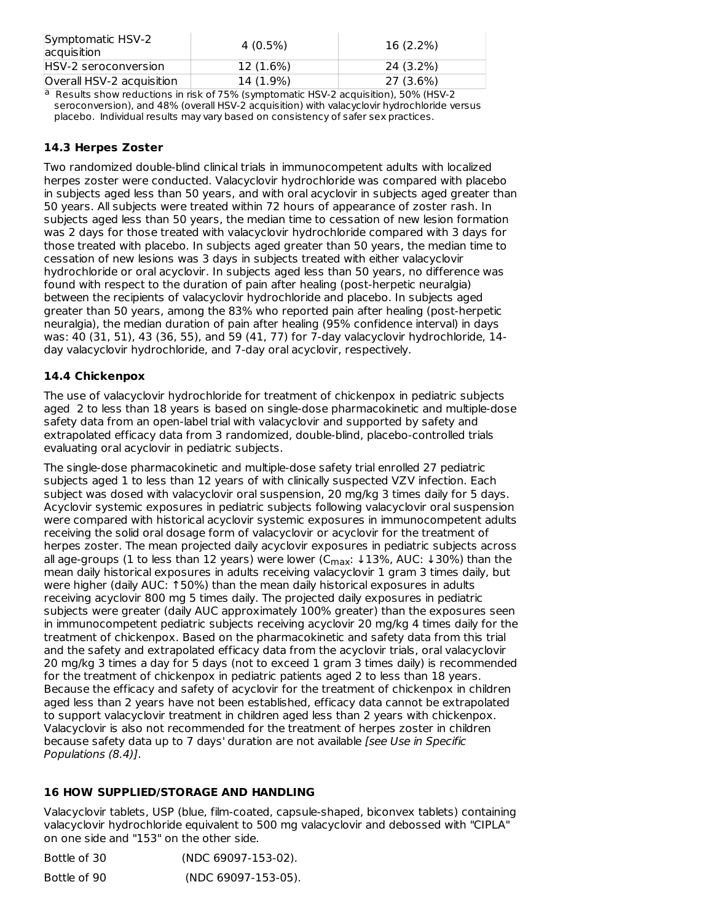| Symptomatic HSV-2<br>acquisition | 4 (0.5%)  | $16(2.2\%)$ |
|----------------------------------|-----------|-------------|
| HSV-2 seroconversion             | 12 (1.6%) | 24 (3.2%)   |
| Overall HSV-2 acquisition        | 14 (1.9%) | 27 (3.6%)   |
|                                  | .         | .           |

<sup>a</sup> Results show reductions in risk of 75% (symptomatic HSV-2 acquisition), 50% (HSV-2 seroconversion), and 48% (overall HSV-2 acquisition) with valacyclovir hydrochloride versus placebo. Individual results may vary based on consistency of safer sex practices.

# **14.3 Herpes Zoster**

Two randomized double-blind clinical trials in immunocompetent adults with localized herpes zoster were conducted. Valacyclovir hydrochloride was compared with placebo in subjects aged less than 50 years, and with oral acyclovir in subjects aged greater than 50 years. All subjects were treated within 72 hours of appearance of zoster rash. In subjects aged less than 50 years, the median time to cessation of new lesion formation was 2 days for those treated with valacyclovir hydrochloride compared with 3 days for those treated with placebo. In subjects aged greater than 50 years, the median time to cessation of new lesions was 3 days in subjects treated with either valacyclovir hydrochloride or oral acyclovir. In subjects aged less than 50 years, no difference was found with respect to the duration of pain after healing (post-herpetic neuralgia) between the recipients of valacyclovir hydrochloride and placebo. In subjects aged greater than 50 years, among the 83% who reported pain after healing (post-herpetic neuralgia), the median duration of pain after healing (95% confidence interval) in days was: 40 (31, 51), 43 (36, 55), and 59 (41, 77) for 7-day valacyclovir hydrochloride, 14 day valacyclovir hydrochloride, and 7-day oral acyclovir, respectively.

# **14.4 Chickenpox**

The use of valacyclovir hydrochloride for treatment of chickenpox in pediatric subjects aged 2 to less than 18 years is based on single-dose pharmacokinetic and multiple-dose safety data from an open-label trial with valacyclovir and supported by safety and extrapolated efficacy data from 3 randomized, double-blind, placebo-controlled trials evaluating oral acyclovir in pediatric subjects.

The single-dose pharmacokinetic and multiple-dose safety trial enrolled 27 pediatric subjects aged 1 to less than 12 years of with clinically suspected VZV infection. Each subject was dosed with valacyclovir oral suspension, 20 mg/kg 3 times daily for 5 days. Acyclovir systemic exposures in pediatric subjects following valacyclovir oral suspension were compared with historical acyclovir systemic exposures in immunocompetent adults receiving the solid oral dosage form of valacyclovir or acyclovir for the treatment of herpes zoster. The mean projected daily acyclovir exposures in pediatric subjects across all age-groups (1 to less than 12 years) were lower (C<sub>max</sub>: ↓13%, AUC: ↓30%) than the mean daily historical exposures in adults receiving valacyclovir 1 gram 3 times daily, but were higher (daily AUC: ↑50%) than the mean daily historical exposures in adults receiving acyclovir 800 mg 5 times daily. The projected daily exposures in pediatric subjects were greater (daily AUC approximately 100% greater) than the exposures seen in immunocompetent pediatric subjects receiving acyclovir 20 mg/kg 4 times daily for the treatment of chickenpox. Based on the pharmacokinetic and safety data from this trial and the safety and extrapolated efficacy data from the acyclovir trials, oral valacyclovir 20 mg/kg 3 times a day for 5 days (not to exceed 1 gram 3 times daily) is recommended for the treatment of chickenpox in pediatric patients aged 2 to less than 18 years. Because the efficacy and safety of acyclovir for the treatment of chickenpox in children aged less than 2 years have not been established, efficacy data cannot be extrapolated to support valacyclovir treatment in children aged less than 2 years with chickenpox. Valacyclovir is also not recommended for the treatment of herpes zoster in children because safety data up to 7 days' duration are not available [see Use in Specific Populations (8.4)].

# **16 HOW SUPPLIED/STORAGE AND HANDLING**

Valacyclovir tablets, USP (blue, film-coated, capsule-shaped, biconvex tablets) containing valacyclovir hydrochloride equivalent to 500 mg valacyclovir and debossed with "CIPLA" on one side and "153" on the other side.

Bottle of 30 (NDC 69097-153-02). Bottle of 90 (NDC 69097-153-05).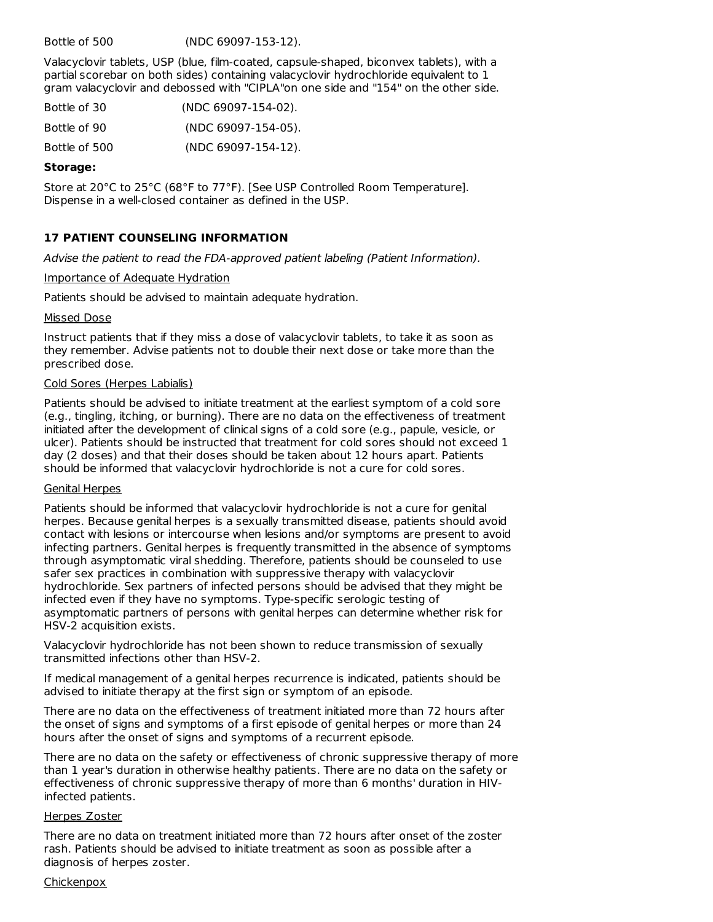Bottle of 500 (NDC 69097-153-12).

Valacyclovir tablets, USP (blue, film-coated, capsule-shaped, biconvex tablets), with a partial scorebar on both sides) containing valacyclovir hydrochloride equivalent to 1 gram valacyclovir and debossed with "CIPLA"on one side and "154" on the other side.

| Bottle of 30  | (NDC 69097-154-02). |
|---------------|---------------------|
| Bottle of 90  | (NDC 69097-154-05). |
| Bottle of 500 | (NDC 69097-154-12). |

#### **Storage:**

Store at 20°C to 25°C (68°F to 77°F). [See USP Controlled Room Temperature]. Dispense in a well-closed container as defined in the USP.

### **17 PATIENT COUNSELING INFORMATION**

Advise the patient to read the FDA-approved patient labeling (Patient Information).

#### Importance of Adequate Hydration

Patients should be advised to maintain adequate hydration.

#### Missed Dose

Instruct patients that if they miss a dose of valacyclovir tablets, to take it as soon as they remember. Advise patients not to double their next dose or take more than the prescribed dose.

#### Cold Sores (Herpes Labialis)

Patients should be advised to initiate treatment at the earliest symptom of a cold sore (e.g., tingling, itching, or burning). There are no data on the effectiveness of treatment initiated after the development of clinical signs of a cold sore (e.g., papule, vesicle, or ulcer). Patients should be instructed that treatment for cold sores should not exceed 1 day (2 doses) and that their doses should be taken about 12 hours apart. Patients should be informed that valacyclovir hydrochloride is not a cure for cold sores.

#### Genital Herpes

Patients should be informed that valacyclovir hydrochloride is not a cure for genital herpes. Because genital herpes is a sexually transmitted disease, patients should avoid contact with lesions or intercourse when lesions and/or symptoms are present to avoid infecting partners. Genital herpes is frequently transmitted in the absence of symptoms through asymptomatic viral shedding. Therefore, patients should be counseled to use safer sex practices in combination with suppressive therapy with valacyclovir hydrochloride. Sex partners of infected persons should be advised that they might be infected even if they have no symptoms. Type-specific serologic testing of asymptomatic partners of persons with genital herpes can determine whether risk for HSV-2 acquisition exists.

Valacyclovir hydrochloride has not been shown to reduce transmission of sexually transmitted infections other than HSV-2.

If medical management of a genital herpes recurrence is indicated, patients should be advised to initiate therapy at the first sign or symptom of an episode.

There are no data on the effectiveness of treatment initiated more than 72 hours after the onset of signs and symptoms of a first episode of genital herpes or more than 24 hours after the onset of signs and symptoms of a recurrent episode.

There are no data on the safety or effectiveness of chronic suppressive therapy of more than 1 year's duration in otherwise healthy patients. There are no data on the safety or effectiveness of chronic suppressive therapy of more than 6 months' duration in HIVinfected patients.

#### Herpes Zoster

There are no data on treatment initiated more than 72 hours after onset of the zoster rash. Patients should be advised to initiate treatment as soon as possible after a diagnosis of herpes zoster.

#### **Chickenpox**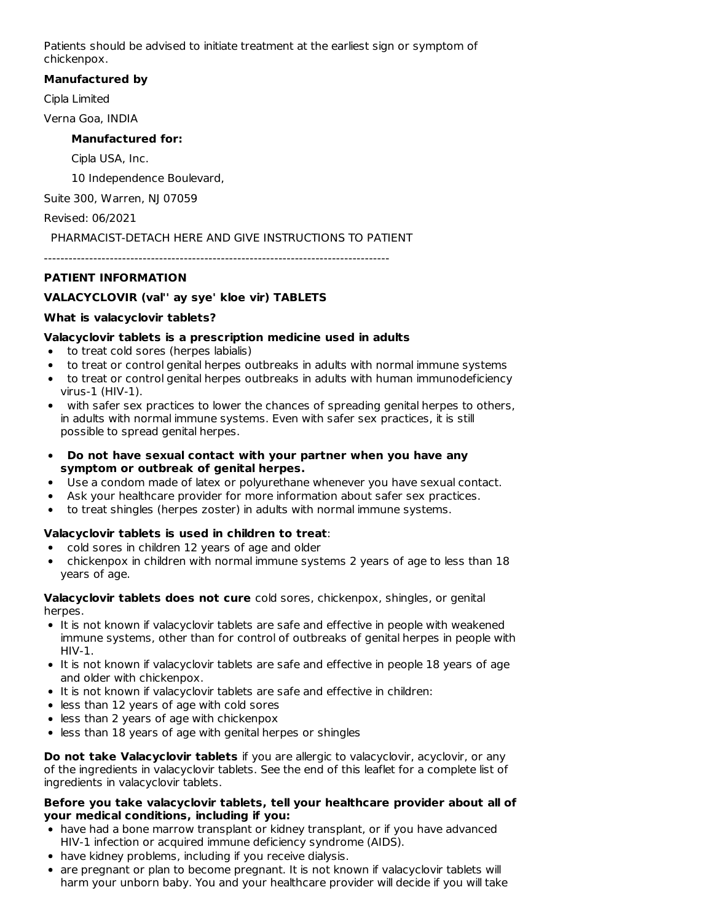Patients should be advised to initiate treatment at the earliest sign or symptom of chickenpox.

### **Manufactured by**

Cipla Limited

Verna Goa, INDIA

### **Manufactured for:**

Cipla USA, Inc.

10 Independence Boulevard,

Suite 300, Warren, NJ 07059

Revised: 06/2021

PHARMACIST-DETACH HERE AND GIVE INSTRUCTIONS TO PATIENT

------------------------------------------------------------------------------------

# **PATIENT INFORMATION**

# **VALACYCLOVIR (val'' ay sye' kloe vir) TABLETS**

### **What is valacyclovir tablets?**

### **Valacyclovir tablets is a prescription medicine used in adults**

- to treat cold sores (herpes labialis)
- to treat or control genital herpes outbreaks in adults with normal immune systems
- to treat or control genital herpes outbreaks in adults with human immunodeficiency virus-1 (HIV-1).
- with safer sex practices to lower the chances of spreading genital herpes to others, in adults with normal immune systems. Even with safer sex practices, it is still possible to spread genital herpes.
- **Do not have sexual contact with your partner when you have any**  $\bullet$ **symptom or outbreak of genital herpes.**
- Use a condom made of latex or polyurethane whenever you have sexual contact.
- Ask your healthcare provider for more information about safer sex practices.
- to treat shingles (herpes zoster) in adults with normal immune systems.

# **Valacyclovir tablets is used in children to treat**:

- cold sores in children 12 years of age and older
- chickenpox in children with normal immune systems 2 years of age to less than 18 years of age.

**Valacyclovir tablets does not cure** cold sores, chickenpox, shingles, or genital herpes.

- It is not known if valacyclovir tablets are safe and effective in people with weakened immune systems, other than for control of outbreaks of genital herpes in people with HIV-1.
- It is not known if valacyclovir tablets are safe and effective in people 18 years of age and older with chickenpox.
- It is not known if valacyclovir tablets are safe and effective in children:
- less than 12 years of age with cold sores
- less than 2 years of age with chickenpox
- less than 18 years of age with genital herpes or shingles

**Do not take Valacyclovir tablets** if you are allergic to valacyclovir, acyclovir, or any of the ingredients in valacyclovir tablets. See the end of this leaflet for a complete list of ingredients in valacyclovir tablets.

#### **Before you take valacyclovir tablets, tell your healthcare provider about all of your medical conditions, including if you:**

- have had a bone marrow transplant or kidney transplant, or if you have advanced HIV-1 infection or acquired immune deficiency syndrome (AIDS).
- have kidney problems, including if you receive dialysis.
- are pregnant or plan to become pregnant. It is not known if valacyclovir tablets will harm your unborn baby. You and your healthcare provider will decide if you will take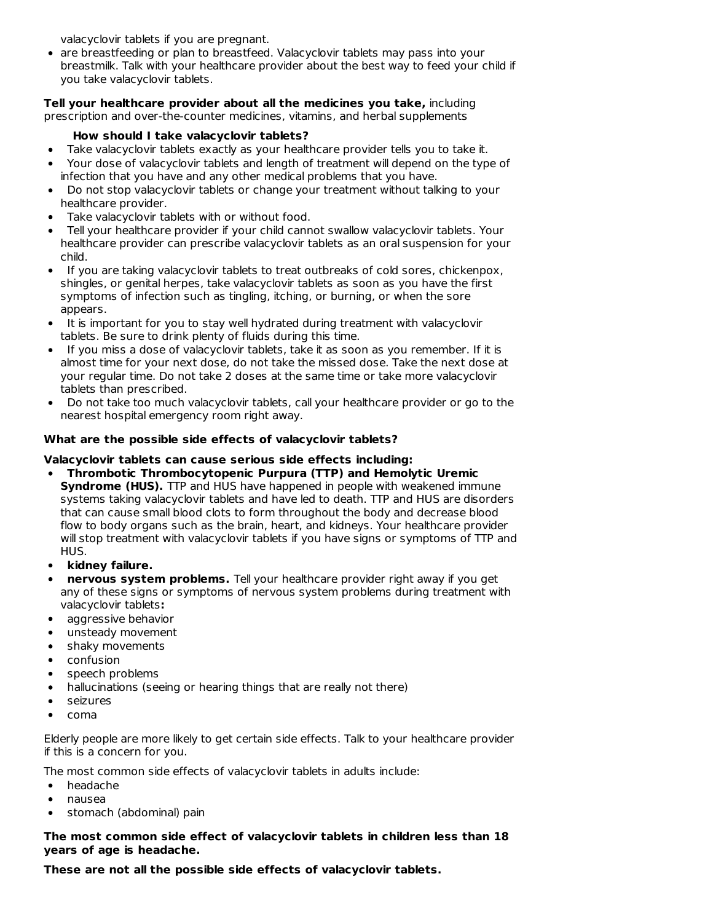valacyclovir tablets if you are pregnant.

• are breastfeeding or plan to breastfeed. Valacyclovir tablets may pass into your breastmilk. Talk with your healthcare provider about the best way to feed your child if you take valacyclovir tablets.

**Tell your healthcare provider about all the medicines you take,** including prescription and over-the-counter medicines, vitamins, and herbal supplements

# **How should I take valacyclovir tablets?**

- Take valacyclovir tablets exactly as your healthcare provider tells you to take it.  $\bullet$
- Your dose of valacyclovir tablets and length of treatment will depend on the type of infection that you have and any other medical problems that you have.
- Do not stop valacyclovir tablets or change your treatment without talking to your healthcare provider.
- Take valacyclovir tablets with or without food.
- Tell your healthcare provider if your child cannot swallow valacyclovir tablets. Your healthcare provider can prescribe valacyclovir tablets as an oral suspension for your child.
- If you are taking valacyclovir tablets to treat outbreaks of cold sores, chickenpox, shingles, or genital herpes, take valacyclovir tablets as soon as you have the first symptoms of infection such as tingling, itching, or burning, or when the sore appears.
- It is important for you to stay well hydrated during treatment with valacyclovir tablets. Be sure to drink plenty of fluids during this time.
- If you miss a dose of valacyclovir tablets, take it as soon as you remember. If it is almost time for your next dose, do not take the missed dose. Take the next dose at your regular time. Do not take 2 doses at the same time or take more valacyclovir tablets than prescribed.
- Do not take too much valacyclovir tablets, call your healthcare provider or go to the nearest hospital emergency room right away.

# **What are the possible side effects of valacyclovir tablets?**

# **Valacyclovir tablets can cause serious side effects including:**

- **Thrombotic Thrombocytopenic Purpura (TTP) and Hemolytic Uremic Syndrome (HUS).** TTP and HUS have happened in people with weakened immune systems taking valacyclovir tablets and have led to death. TTP and HUS are disorders that can cause small blood clots to form throughout the body and decrease blood flow to body organs such as the brain, heart, and kidneys. Your healthcare provider will stop treatment with valacyclovir tablets if you have signs or symptoms of TTP and HUS.
- **kidney failure.**
- **nervous system problems.** Tell your healthcare provider right away if you get any of these signs or symptoms of nervous system problems during treatment with valacyclovir tablets**:**
- $\bullet$ aggressive behavior
- $\bullet$ unsteady movement
- $\bullet$ shaky movements
- confusion  $\bullet$
- speech problems  $\bullet$
- hallucinations (seeing or hearing things that are really not there)  $\bullet$
- seizures
- $\bullet$ coma

Elderly people are more likely to get certain side effects. Talk to your healthcare provider if this is a concern for you.

The most common side effects of valacyclovir tablets in adults include:

- $\bullet$ headache
- nausea
- stomach (abdominal) pain

### **The most common side effect of valacyclovir tablets in children less than 18 years of age is headache.**

**These are not all the possible side effects of valacyclovir tablets.**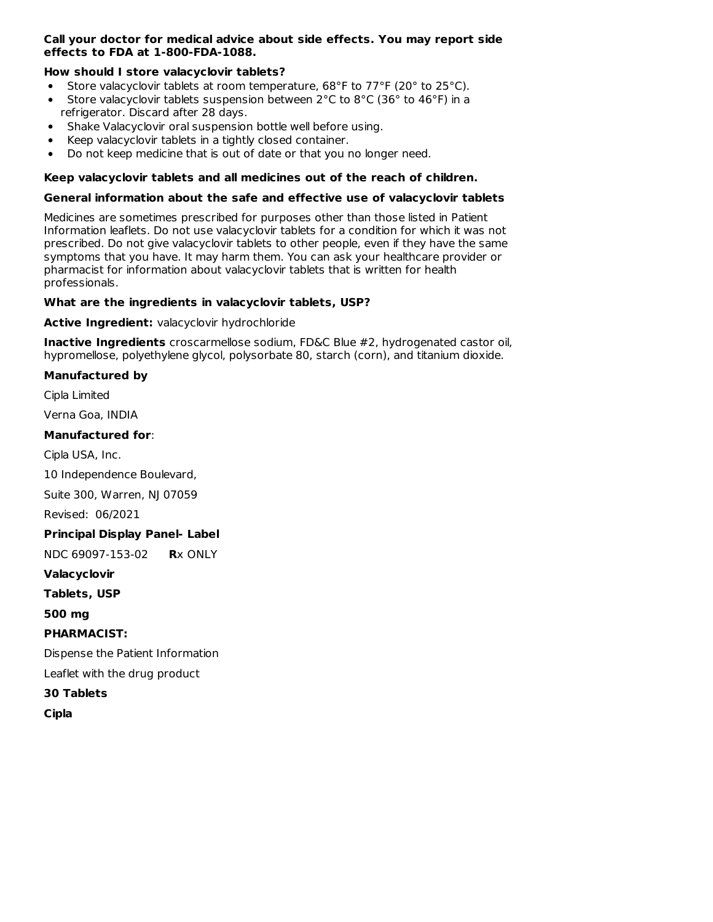### **Call your doctor for medical advice about side effects. You may report side effects to FDA at 1-800-FDA-1088.**

### **How should I store valacyclovir tablets?**

- Store valacyclovir tablets at room temperature,  $68^{\circ}$ F to  $77^{\circ}$ F (20 $^{\circ}$  to 25 $^{\circ}$ C).
- Store valacyclovir tablets suspension between 2°C to 8°C (36° to 46°F) in a  $\bullet$ refrigerator. Discard after 28 days.
- Shake Valacyclovir oral suspension bottle well before using.
- Keep valacyclovir tablets in a tightly closed container.
- Do not keep medicine that is out of date or that you no longer need.  $\bullet$

### **Keep valacyclovir tablets and all medicines out of the reach of children.**

### **General information about the safe and effective use of valacyclovir tablets**

Medicines are sometimes prescribed for purposes other than those listed in Patient Information leaflets. Do not use valacyclovir tablets for a condition for which it was not prescribed. Do not give valacyclovir tablets to other people, even if they have the same symptoms that you have. It may harm them. You can ask your healthcare provider or pharmacist for information about valacyclovir tablets that is written for health professionals.

### **What are the ingredients in valacyclovir tablets, USP?**

**Active Ingredient:** valacyclovir hydrochloride

**Inactive Ingredients** croscarmellose sodium, FD&C Blue #2, hydrogenated castor oil, hypromellose, polyethylene glycol, polysorbate 80, starch (corn), and titanium dioxide.

### **Manufactured by**

Cipla Limited

Verna Goa, INDIA

### **Manufactured for**:

Cipla USA, Inc.

10 Independence Boulevard,

Suite 300, Warren, NJ 07059

Revised: 06/2021

# **Principal Display Panel- Label**

NDC 69097-153-02 **R**x ONLY

**Valacyclovir**

**Tablets, USP**

**500 mg**

**PHARMACIST:**

Dispense the Patient Information

Leaflet with the drug product

**30 Tablets**

**Cipla**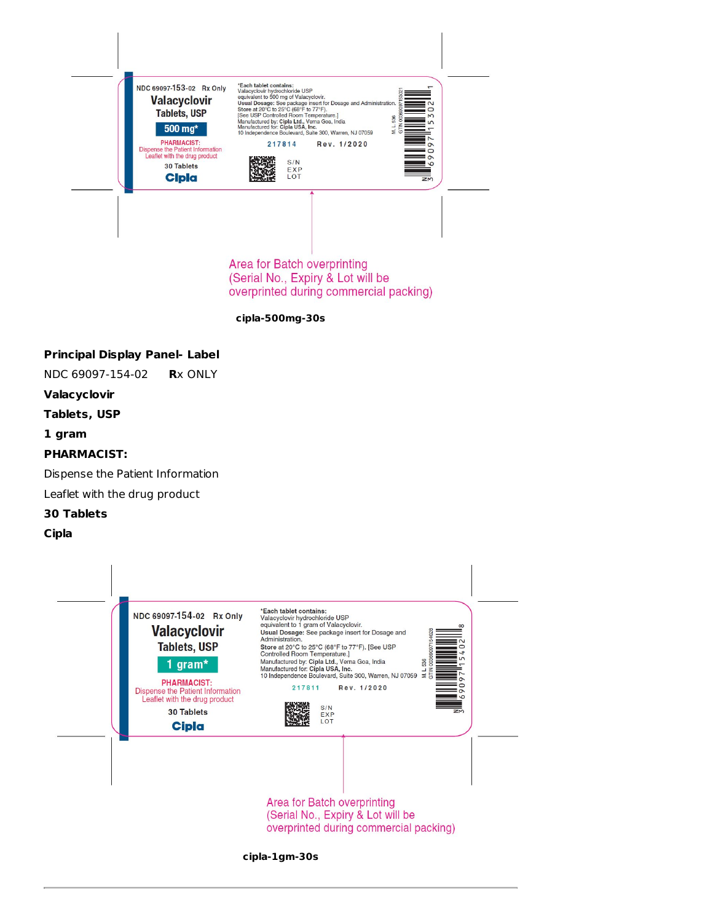

Area for Batch overprinting (Serial No., Expiry & Lot will be overprinted during commercial packing)

**cipla-500mg-30s**

# **Principal Display Panel- Label**

NDC 69097-154-02 **R**x ONLY

### **Valacyclovir**

**Tablets, USP**

### **1 gram**

# **PHARMACIST:**

Dispense the Patient Information

Leaflet with the drug product

# **30 Tablets**

#### **Cipla**

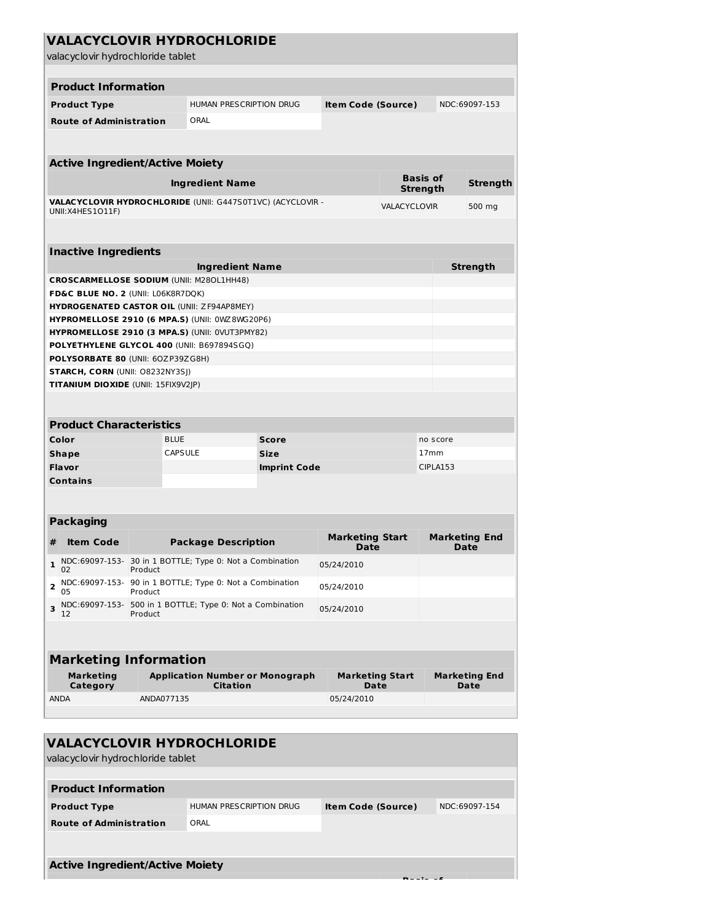| <b>VALACYCLOVIR HYDROCHLORIDE</b><br>valacyclovir hydrochloride tablet                       |            |                |                                |                                        |                                       |                             |                                     |                                     |
|----------------------------------------------------------------------------------------------|------------|----------------|--------------------------------|----------------------------------------|---------------------------------------|-----------------------------|-------------------------------------|-------------------------------------|
| <b>Product Information</b>                                                                   |            |                |                                |                                        |                                       |                             |                                     |                                     |
| <b>Product Type</b>                                                                          |            |                |                                | HUMAN PRESCRIPTION DRUG                | <b>Item Code (Source)</b>             |                             |                                     | NDC:69097-153                       |
| <b>Route of Administration</b>                                                               |            | ORAL           |                                |                                        |                                       |                             |                                     |                                     |
|                                                                                              |            |                |                                |                                        |                                       |                             |                                     |                                     |
| <b>Active Ingredient/Active Moiety</b>                                                       |            |                |                                |                                        |                                       |                             |                                     |                                     |
| <b>Ingredient Name</b>                                                                       |            |                |                                |                                        |                                       | <b>Basis of</b><br>Strength |                                     | <b>Strength</b>                     |
| VALACYCLOVIR HYDROCHLORIDE (UNII: G447S0T1VC) (ACYCLOVIR -<br>UNII: X4HES 1011F)             |            |                |                                |                                        |                                       | VALACYCLOVIR                |                                     | 500 mg                              |
|                                                                                              |            |                |                                |                                        |                                       |                             |                                     |                                     |
| <b>Inactive Ingredients</b>                                                                  |            |                | <b>Ingredient Name</b>         |                                        |                                       |                             |                                     | <b>Strength</b>                     |
| CROSCARMELLOSE SODIUM (UNII: M280L1HH48)                                                     |            |                |                                |                                        |                                       |                             |                                     |                                     |
| FD&C BLUE NO. 2 (UNII: L06K8R7DQK)                                                           |            |                |                                |                                        |                                       |                             |                                     |                                     |
| <b>HYDROGENATED CASTOR OIL (UNII: ZF94AP8MEY)</b>                                            |            |                |                                |                                        |                                       |                             |                                     |                                     |
| <b>HYPROMELLOSE 2910 (6 MPA.S) (UNII: 0WZ8WG20P6)</b>                                        |            |                |                                |                                        |                                       |                             |                                     |                                     |
| HYPROMELLOSE 2910 (3 MPA.S) (UNII: 0VUT3PMY82)<br>POLYETHYLENE GLYCOL 400 (UNII: B697894SGQ) |            |                |                                |                                        |                                       |                             |                                     |                                     |
| POLYSORBATE 80 (UNII: 60ZP39ZG8H)                                                            |            |                |                                |                                        |                                       |                             |                                     |                                     |
| <b>STARCH, CORN (UNII: O8232NY3SJ)</b>                                                       |            |                |                                |                                        |                                       |                             |                                     |                                     |
| TITANIUM DIOXIDE (UNII: 15FIX9V2JP)                                                          |            |                |                                |                                        |                                       |                             |                                     |                                     |
|                                                                                              |            |                |                                |                                        |                                       |                             |                                     |                                     |
| <b>Product Characteristics</b>                                                               |            |                |                                |                                        |                                       |                             |                                     |                                     |
| Color                                                                                        |            | <b>BLUE</b>    |                                | Score                                  |                                       |                             | no score                            |                                     |
| <b>Shape</b>                                                                                 |            | <b>CAPSULE</b> |                                | <b>Size</b>                            |                                       |                             | 17 <sub>mm</sub><br><b>CIPLA153</b> |                                     |
| Flavor<br><b>Contains</b>                                                                    |            |                |                                | <b>Imprint Code</b>                    |                                       |                             |                                     |                                     |
|                                                                                              |            |                |                                |                                        |                                       |                             |                                     |                                     |
| <b>Packaging</b>                                                                             |            |                |                                |                                        |                                       |                             |                                     |                                     |
| <b>Item Code</b><br>#                                                                        |            |                | <b>Package Description</b>     |                                        | <b>Marketing Start</b><br>Date        |                             |                                     | <b>Marketing End</b><br>Date        |
| NDC:69097-153- 30 in 1 BOTTLE; Type 0: Not a Combination<br>1<br>02                          | Product    |                |                                |                                        | 05/24/2010                            |                             |                                     |                                     |
| NDC:69097-153- 90 in 1 BOTTLE; Type 0: Not a Combination<br>2<br>05                          | Product    |                |                                |                                        | 05/24/2010                            |                             |                                     |                                     |
| NDC:69097-153- 500 in 1 BOTTLE; Type 0: Not a Combination<br>3<br>12                         | Product    |                |                                |                                        | 05/24/2010                            |                             |                                     |                                     |
|                                                                                              |            |                |                                |                                        |                                       |                             |                                     |                                     |
| <b>Marketing Information</b>                                                                 |            |                |                                |                                        |                                       |                             |                                     |                                     |
| Marketing<br>Category                                                                        |            |                | Citation                       | <b>Application Number or Monograph</b> | <b>Marketing Start</b><br><b>Date</b> |                             |                                     | <b>Marketing End</b><br><b>Date</b> |
| <b>ANDA</b>                                                                                  | ANDA077135 |                |                                |                                        | 05/24/2010                            |                             |                                     |                                     |
|                                                                                              |            |                |                                |                                        |                                       |                             |                                     |                                     |
|                                                                                              |            |                |                                |                                        |                                       |                             |                                     |                                     |
| <b>VALACYCLOVIR HYDROCHLORIDE</b>                                                            |            |                |                                |                                        |                                       |                             |                                     |                                     |
| valacyclovir hydrochloride tablet                                                            |            |                |                                |                                        |                                       |                             |                                     |                                     |
|                                                                                              |            |                |                                |                                        |                                       |                             |                                     |                                     |
| <b>Product Information</b>                                                                   |            |                |                                |                                        |                                       |                             |                                     |                                     |
| <b>Product Type</b>                                                                          |            |                | <b>HUMAN PRESCRIPTION DRUG</b> |                                        | <b>Item Code (Source)</b>             |                             |                                     | NDC:69097-154                       |
| <b>Route of Administration</b>                                                               |            | ORAL           |                                |                                        |                                       |                             |                                     |                                     |
|                                                                                              |            |                |                                |                                        |                                       |                             |                                     |                                     |
| <b>Active Ingredient/Active Moiety</b>                                                       |            |                |                                |                                        |                                       |                             |                                     |                                     |
|                                                                                              |            |                |                                |                                        |                                       |                             |                                     |                                     |